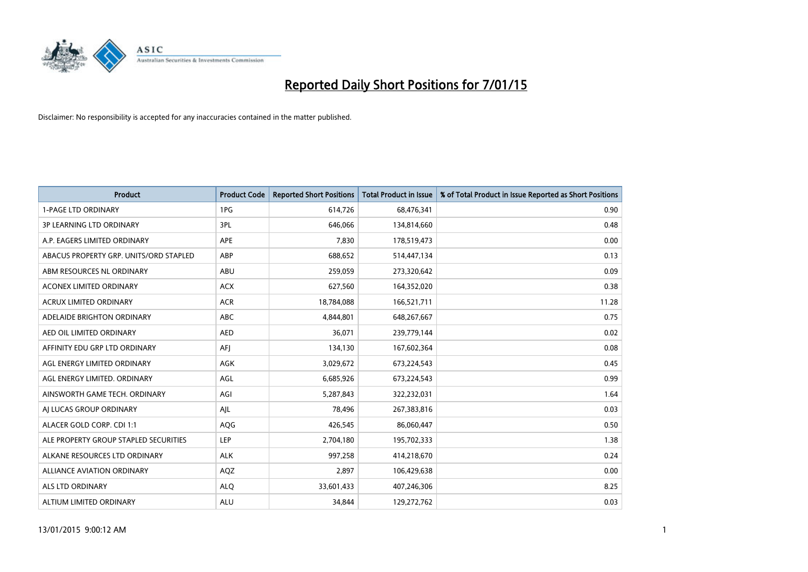

| <b>Product</b>                         | <b>Product Code</b> | <b>Reported Short Positions</b> | <b>Total Product in Issue</b> | % of Total Product in Issue Reported as Short Positions |
|----------------------------------------|---------------------|---------------------------------|-------------------------------|---------------------------------------------------------|
| <b>1-PAGE LTD ORDINARY</b>             | 1PG                 | 614,726                         | 68,476,341                    | 0.90                                                    |
| 3P LEARNING LTD ORDINARY               | 3PL                 | 646,066                         | 134,814,660                   | 0.48                                                    |
| A.P. EAGERS LIMITED ORDINARY           | <b>APE</b>          | 7,830                           | 178,519,473                   | 0.00                                                    |
| ABACUS PROPERTY GRP. UNITS/ORD STAPLED | ABP                 | 688,652                         | 514,447,134                   | 0.13                                                    |
| ABM RESOURCES NL ORDINARY              | ABU                 | 259,059                         | 273,320,642                   | 0.09                                                    |
| <b>ACONEX LIMITED ORDINARY</b>         | <b>ACX</b>          | 627,560                         | 164,352,020                   | 0.38                                                    |
| <b>ACRUX LIMITED ORDINARY</b>          | <b>ACR</b>          | 18,784,088                      | 166,521,711                   | 11.28                                                   |
| ADELAIDE BRIGHTON ORDINARY             | <b>ABC</b>          | 4,844,801                       | 648,267,667                   | 0.75                                                    |
| AED OIL LIMITED ORDINARY               | <b>AED</b>          | 36,071                          | 239,779,144                   | 0.02                                                    |
| AFFINITY EDU GRP LTD ORDINARY          | AFI                 | 134,130                         | 167,602,364                   | 0.08                                                    |
| AGL ENERGY LIMITED ORDINARY            | AGK                 | 3,029,672                       | 673,224,543                   | 0.45                                                    |
| AGL ENERGY LIMITED. ORDINARY           | AGL                 | 6,685,926                       | 673,224,543                   | 0.99                                                    |
| AINSWORTH GAME TECH. ORDINARY          | AGI                 | 5,287,843                       | 322,232,031                   | 1.64                                                    |
| AI LUCAS GROUP ORDINARY                | AJL                 | 78,496                          | 267,383,816                   | 0.03                                                    |
| ALACER GOLD CORP. CDI 1:1              | AQG                 | 426,545                         | 86,060,447                    | 0.50                                                    |
| ALE PROPERTY GROUP STAPLED SECURITIES  | <b>LEP</b>          | 2,704,180                       | 195,702,333                   | 1.38                                                    |
| ALKANE RESOURCES LTD ORDINARY          | <b>ALK</b>          | 997,258                         | 414,218,670                   | 0.24                                                    |
| ALLIANCE AVIATION ORDINARY             | AQZ                 | 2,897                           | 106,429,638                   | 0.00                                                    |
| ALS LTD ORDINARY                       | <b>ALO</b>          | 33,601,433                      | 407,246,306                   | 8.25                                                    |
| ALTIUM LIMITED ORDINARY                | <b>ALU</b>          | 34,844                          | 129,272,762                   | 0.03                                                    |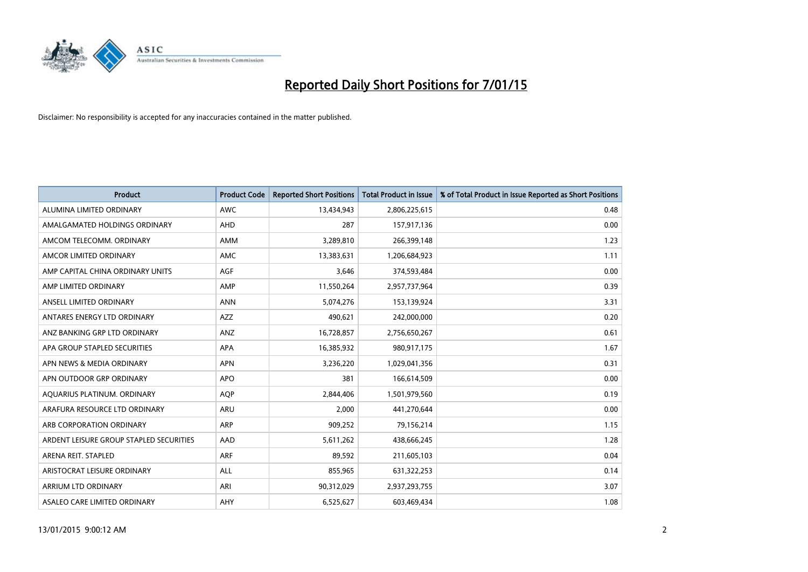

| <b>Product</b>                          | <b>Product Code</b> | <b>Reported Short Positions</b> | <b>Total Product in Issue</b> | % of Total Product in Issue Reported as Short Positions |
|-----------------------------------------|---------------------|---------------------------------|-------------------------------|---------------------------------------------------------|
| ALUMINA LIMITED ORDINARY                | <b>AWC</b>          | 13,434,943                      | 2,806,225,615                 | 0.48                                                    |
| AMALGAMATED HOLDINGS ORDINARY           | AHD                 | 287                             | 157,917,136                   | 0.00                                                    |
| AMCOM TELECOMM, ORDINARY                | AMM                 | 3,289,810                       | 266,399,148                   | 1.23                                                    |
| AMCOR LIMITED ORDINARY                  | AMC                 | 13,383,631                      | 1,206,684,923                 | 1.11                                                    |
| AMP CAPITAL CHINA ORDINARY UNITS        | AGF                 | 3,646                           | 374,593,484                   | 0.00                                                    |
| AMP LIMITED ORDINARY                    | AMP                 | 11,550,264                      | 2,957,737,964                 | 0.39                                                    |
| ANSELL LIMITED ORDINARY                 | <b>ANN</b>          | 5,074,276                       | 153,139,924                   | 3.31                                                    |
| ANTARES ENERGY LTD ORDINARY             | AZZ                 | 490,621                         | 242,000,000                   | 0.20                                                    |
| ANZ BANKING GRP LTD ORDINARY            | ANZ                 | 16,728,857                      | 2,756,650,267                 | 0.61                                                    |
| APA GROUP STAPLED SECURITIES            | <b>APA</b>          | 16,385,932                      | 980,917,175                   | 1.67                                                    |
| APN NEWS & MEDIA ORDINARY               | <b>APN</b>          | 3,236,220                       | 1,029,041,356                 | 0.31                                                    |
| APN OUTDOOR GRP ORDINARY                | <b>APO</b>          | 381                             | 166,614,509                   | 0.00                                                    |
| AQUARIUS PLATINUM. ORDINARY             | <b>AOP</b>          | 2,844,406                       | 1,501,979,560                 | 0.19                                                    |
| ARAFURA RESOURCE LTD ORDINARY           | ARU                 | 2,000                           | 441,270,644                   | 0.00                                                    |
| ARB CORPORATION ORDINARY                | <b>ARP</b>          | 909,252                         | 79,156,214                    | 1.15                                                    |
| ARDENT LEISURE GROUP STAPLED SECURITIES | AAD                 | 5,611,262                       | 438,666,245                   | 1.28                                                    |
| ARENA REIT. STAPLED                     | <b>ARF</b>          | 89,592                          | 211,605,103                   | 0.04                                                    |
| ARISTOCRAT LEISURE ORDINARY             | <b>ALL</b>          | 855,965                         | 631,322,253                   | 0.14                                                    |
| ARRIUM LTD ORDINARY                     | ARI                 | 90,312,029                      | 2,937,293,755                 | 3.07                                                    |
| ASALEO CARE LIMITED ORDINARY            | AHY                 | 6,525,627                       | 603,469,434                   | 1.08                                                    |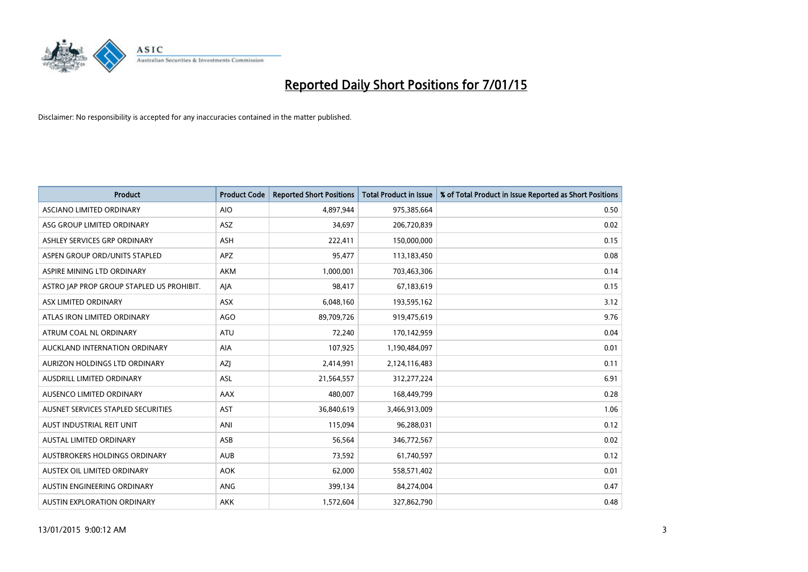

| <b>Product</b>                            | <b>Product Code</b> | <b>Reported Short Positions</b> | <b>Total Product in Issue</b> | % of Total Product in Issue Reported as Short Positions |
|-------------------------------------------|---------------------|---------------------------------|-------------------------------|---------------------------------------------------------|
| ASCIANO LIMITED ORDINARY                  | <b>AIO</b>          | 4,897,944                       | 975,385,664                   | 0.50                                                    |
| ASG GROUP LIMITED ORDINARY                | ASZ                 | 34,697                          | 206,720,839                   | 0.02                                                    |
| ASHLEY SERVICES GRP ORDINARY              | <b>ASH</b>          | 222,411                         | 150,000,000                   | 0.15                                                    |
| ASPEN GROUP ORD/UNITS STAPLED             | APZ                 | 95,477                          | 113,183,450                   | 0.08                                                    |
| ASPIRE MINING LTD ORDINARY                | <b>AKM</b>          | 1,000,001                       | 703,463,306                   | 0.14                                                    |
| ASTRO JAP PROP GROUP STAPLED US PROHIBIT. | AJA                 | 98,417                          | 67,183,619                    | 0.15                                                    |
| ASX LIMITED ORDINARY                      | ASX                 | 6,048,160                       | 193,595,162                   | 3.12                                                    |
| ATLAS IRON LIMITED ORDINARY               | <b>AGO</b>          | 89,709,726                      | 919,475,619                   | 9.76                                                    |
| ATRUM COAL NL ORDINARY                    | <b>ATU</b>          | 72,240                          | 170,142,959                   | 0.04                                                    |
| AUCKLAND INTERNATION ORDINARY             | <b>AIA</b>          | 107,925                         | 1,190,484,097                 | 0.01                                                    |
| AURIZON HOLDINGS LTD ORDINARY             | AZJ                 | 2,414,991                       | 2,124,116,483                 | 0.11                                                    |
| AUSDRILL LIMITED ORDINARY                 | ASL                 | 21,564,557                      | 312,277,224                   | 6.91                                                    |
| AUSENCO LIMITED ORDINARY                  | AAX                 | 480,007                         | 168,449,799                   | 0.28                                                    |
| AUSNET SERVICES STAPLED SECURITIES        | AST                 | 36,840,619                      | 3,466,913,009                 | 1.06                                                    |
| AUST INDUSTRIAL REIT UNIT                 | ANI                 | 115,094                         | 96,288,031                    | 0.12                                                    |
| AUSTAL LIMITED ORDINARY                   | ASB                 | 56,564                          | 346,772,567                   | 0.02                                                    |
| AUSTBROKERS HOLDINGS ORDINARY             | <b>AUB</b>          | 73,592                          | 61,740,597                    | 0.12                                                    |
| AUSTEX OIL LIMITED ORDINARY               | <b>AOK</b>          | 62,000                          | 558,571,402                   | 0.01                                                    |
| AUSTIN ENGINEERING ORDINARY               | ANG                 | 399,134                         | 84,274,004                    | 0.47                                                    |
| AUSTIN EXPLORATION ORDINARY               | <b>AKK</b>          | 1,572,604                       | 327,862,790                   | 0.48                                                    |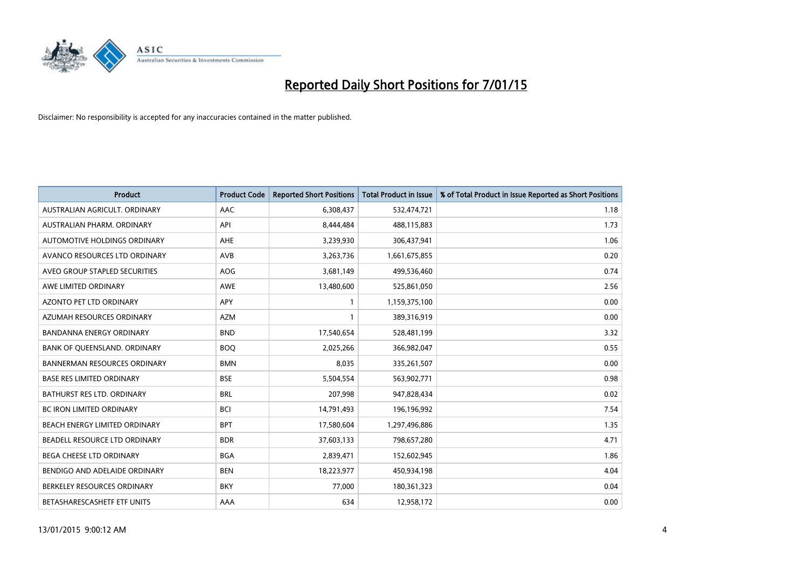

| <b>Product</b>                      | <b>Product Code</b> | <b>Reported Short Positions</b> | <b>Total Product in Issue</b> | % of Total Product in Issue Reported as Short Positions |
|-------------------------------------|---------------------|---------------------------------|-------------------------------|---------------------------------------------------------|
| AUSTRALIAN AGRICULT, ORDINARY       | AAC                 | 6,308,437                       | 532,474,721                   | 1.18                                                    |
| AUSTRALIAN PHARM. ORDINARY          | API                 | 8,444,484                       | 488,115,883                   | 1.73                                                    |
| AUTOMOTIVE HOLDINGS ORDINARY        | <b>AHE</b>          | 3,239,930                       | 306,437,941                   | 1.06                                                    |
| AVANCO RESOURCES LTD ORDINARY       | AVB                 | 3,263,736                       | 1,661,675,855                 | 0.20                                                    |
| AVEO GROUP STAPLED SECURITIES       | AOG                 | 3,681,149                       | 499,536,460                   | 0.74                                                    |
| AWE LIMITED ORDINARY                | AWE                 | 13,480,600                      | 525,861,050                   | 2.56                                                    |
| <b>AZONTO PET LTD ORDINARY</b>      | <b>APY</b>          | 1                               | 1,159,375,100                 | 0.00                                                    |
| AZUMAH RESOURCES ORDINARY           | <b>AZM</b>          | 1                               | 389,316,919                   | 0.00                                                    |
| <b>BANDANNA ENERGY ORDINARY</b>     | <b>BND</b>          | 17,540,654                      | 528,481,199                   | 3.32                                                    |
| BANK OF QUEENSLAND. ORDINARY        | <b>BOQ</b>          | 2,025,266                       | 366,982,047                   | 0.55                                                    |
| <b>BANNERMAN RESOURCES ORDINARY</b> | <b>BMN</b>          | 8,035                           | 335,261,507                   | 0.00                                                    |
| <b>BASE RES LIMITED ORDINARY</b>    | <b>BSE</b>          | 5,504,554                       | 563,902,771                   | 0.98                                                    |
| BATHURST RES LTD. ORDINARY          | <b>BRL</b>          | 207,998                         | 947,828,434                   | 0.02                                                    |
| <b>BC IRON LIMITED ORDINARY</b>     | <b>BCI</b>          | 14,791,493                      | 196,196,992                   | 7.54                                                    |
| BEACH ENERGY LIMITED ORDINARY       | <b>BPT</b>          | 17,580,604                      | 1,297,496,886                 | 1.35                                                    |
| BEADELL RESOURCE LTD ORDINARY       | <b>BDR</b>          | 37,603,133                      | 798,657,280                   | 4.71                                                    |
| <b>BEGA CHEESE LTD ORDINARY</b>     | <b>BGA</b>          | 2,839,471                       | 152,602,945                   | 1.86                                                    |
| BENDIGO AND ADELAIDE ORDINARY       | <b>BEN</b>          | 18,223,977                      | 450,934,198                   | 4.04                                                    |
| BERKELEY RESOURCES ORDINARY         | <b>BKY</b>          | 77,000                          | 180,361,323                   | 0.04                                                    |
| BETASHARESCASHETF ETF UNITS         | AAA                 | 634                             | 12,958,172                    | 0.00                                                    |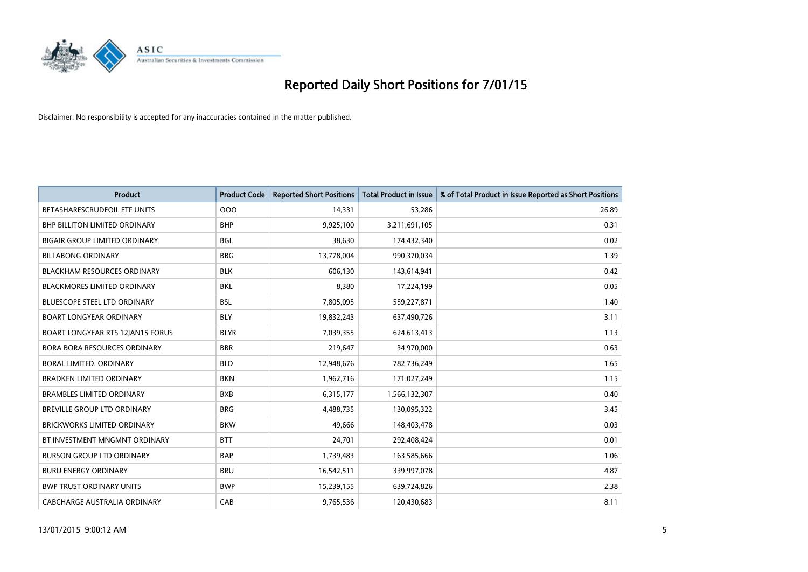

| <b>Product</b>                       | <b>Product Code</b> | <b>Reported Short Positions</b> | <b>Total Product in Issue</b> | % of Total Product in Issue Reported as Short Positions |
|--------------------------------------|---------------------|---------------------------------|-------------------------------|---------------------------------------------------------|
| BETASHARESCRUDEOIL ETF UNITS         | 000                 | 14,331                          | 53,286                        | 26.89                                                   |
| BHP BILLITON LIMITED ORDINARY        | <b>BHP</b>          | 9,925,100                       | 3,211,691,105                 | 0.31                                                    |
| <b>BIGAIR GROUP LIMITED ORDINARY</b> | <b>BGL</b>          | 38,630                          | 174,432,340                   | 0.02                                                    |
| <b>BILLABONG ORDINARY</b>            | <b>BBG</b>          | 13,778,004                      | 990,370,034                   | 1.39                                                    |
| <b>BLACKHAM RESOURCES ORDINARY</b>   | <b>BLK</b>          | 606,130                         | 143,614,941                   | 0.42                                                    |
| <b>BLACKMORES LIMITED ORDINARY</b>   | <b>BKL</b>          | 8,380                           | 17,224,199                    | 0.05                                                    |
| <b>BLUESCOPE STEEL LTD ORDINARY</b>  | <b>BSL</b>          | 7,805,095                       | 559,227,871                   | 1.40                                                    |
| <b>BOART LONGYEAR ORDINARY</b>       | <b>BLY</b>          | 19,832,243                      | 637,490,726                   | 3.11                                                    |
| BOART LONGYEAR RTS 12JAN15 FORUS     | <b>BLYR</b>         | 7,039,355                       | 624,613,413                   | 1.13                                                    |
| <b>BORA BORA RESOURCES ORDINARY</b>  | <b>BBR</b>          | 219,647                         | 34,970,000                    | 0.63                                                    |
| <b>BORAL LIMITED, ORDINARY</b>       | <b>BLD</b>          | 12,948,676                      | 782,736,249                   | 1.65                                                    |
| <b>BRADKEN LIMITED ORDINARY</b>      | <b>BKN</b>          | 1,962,716                       | 171,027,249                   | 1.15                                                    |
| <b>BRAMBLES LIMITED ORDINARY</b>     | <b>BXB</b>          | 6,315,177                       | 1,566,132,307                 | 0.40                                                    |
| <b>BREVILLE GROUP LTD ORDINARY</b>   | <b>BRG</b>          | 4,488,735                       | 130,095,322                   | 3.45                                                    |
| <b>BRICKWORKS LIMITED ORDINARY</b>   | <b>BKW</b>          | 49,666                          | 148,403,478                   | 0.03                                                    |
| BT INVESTMENT MNGMNT ORDINARY        | <b>BTT</b>          | 24,701                          | 292,408,424                   | 0.01                                                    |
| <b>BURSON GROUP LTD ORDINARY</b>     | <b>BAP</b>          | 1,739,483                       | 163,585,666                   | 1.06                                                    |
| <b>BURU ENERGY ORDINARY</b>          | <b>BRU</b>          | 16,542,511                      | 339,997,078                   | 4.87                                                    |
| <b>BWP TRUST ORDINARY UNITS</b>      | <b>BWP</b>          | 15,239,155                      | 639,724,826                   | 2.38                                                    |
| CABCHARGE AUSTRALIA ORDINARY         | CAB                 | 9,765,536                       | 120,430,683                   | 8.11                                                    |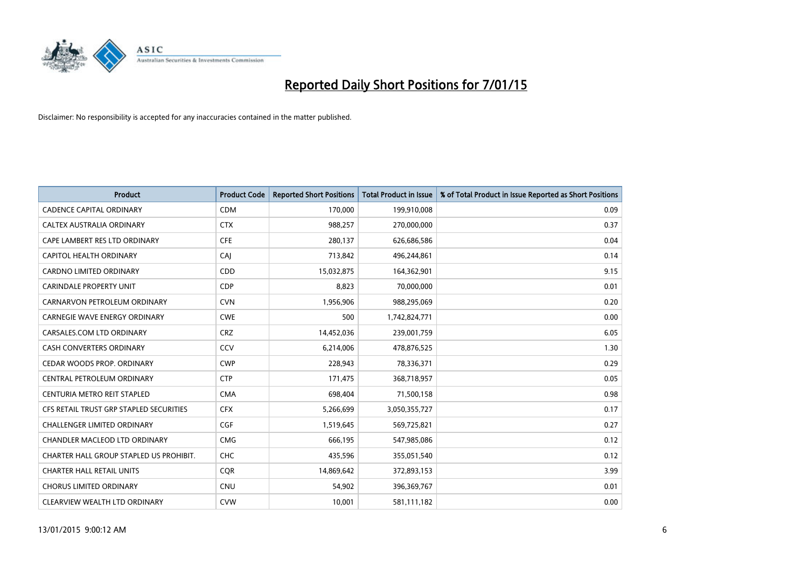

| <b>Product</b>                          | <b>Product Code</b> | <b>Reported Short Positions</b> | <b>Total Product in Issue</b> | % of Total Product in Issue Reported as Short Positions |
|-----------------------------------------|---------------------|---------------------------------|-------------------------------|---------------------------------------------------------|
| <b>CADENCE CAPITAL ORDINARY</b>         | <b>CDM</b>          | 170,000                         | 199,910,008                   | 0.09                                                    |
| CALTEX AUSTRALIA ORDINARY               | <b>CTX</b>          | 988,257                         | 270,000,000                   | 0.37                                                    |
| CAPE LAMBERT RES LTD ORDINARY           | <b>CFE</b>          | 280,137                         | 626,686,586                   | 0.04                                                    |
| CAPITOL HEALTH ORDINARY                 | CAI                 | 713,842                         | 496,244,861                   | 0.14                                                    |
| <b>CARDNO LIMITED ORDINARY</b>          | CDD                 | 15,032,875                      | 164,362,901                   | 9.15                                                    |
| <b>CARINDALE PROPERTY UNIT</b>          | <b>CDP</b>          | 8,823                           | 70,000,000                    | 0.01                                                    |
| CARNARVON PETROLEUM ORDINARY            | <b>CVN</b>          | 1,956,906                       | 988,295,069                   | 0.20                                                    |
| <b>CARNEGIE WAVE ENERGY ORDINARY</b>    | <b>CWE</b>          | 500                             | 1,742,824,771                 | 0.00                                                    |
| CARSALES.COM LTD ORDINARY               | <b>CRZ</b>          | 14,452,036                      | 239,001,759                   | 6.05                                                    |
| <b>CASH CONVERTERS ORDINARY</b>         | CCV                 | 6,214,006                       | 478,876,525                   | 1.30                                                    |
| CEDAR WOODS PROP. ORDINARY              | <b>CWP</b>          | 228,943                         | 78,336,371                    | 0.29                                                    |
| CENTRAL PETROLEUM ORDINARY              | <b>CTP</b>          | 171,475                         | 368,718,957                   | 0.05                                                    |
| CENTURIA METRO REIT STAPLED             | <b>CMA</b>          | 698,404                         | 71,500,158                    | 0.98                                                    |
| CFS RETAIL TRUST GRP STAPLED SECURITIES | <b>CFX</b>          | 5,266,699                       | 3,050,355,727                 | 0.17                                                    |
| CHALLENGER LIMITED ORDINARY             | <b>CGF</b>          | 1,519,645                       | 569,725,821                   | 0.27                                                    |
| CHANDLER MACLEOD LTD ORDINARY           | <b>CMG</b>          | 666,195                         | 547,985,086                   | 0.12                                                    |
| CHARTER HALL GROUP STAPLED US PROHIBIT. | <b>CHC</b>          | 435,596                         | 355,051,540                   | 0.12                                                    |
| <b>CHARTER HALL RETAIL UNITS</b>        | <b>COR</b>          | 14,869,642                      | 372,893,153                   | 3.99                                                    |
| <b>CHORUS LIMITED ORDINARY</b>          | CNU                 | 54,902                          | 396,369,767                   | 0.01                                                    |
| CLEARVIEW WEALTH LTD ORDINARY           | <b>CVW</b>          | 10.001                          | 581,111,182                   | 0.00                                                    |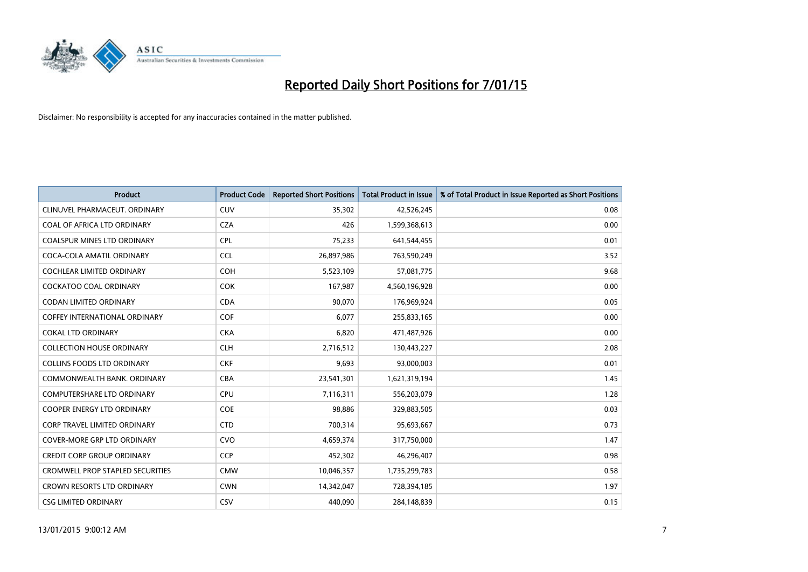

| <b>Product</b>                          | <b>Product Code</b> | <b>Reported Short Positions</b> | <b>Total Product in Issue</b> | % of Total Product in Issue Reported as Short Positions |
|-----------------------------------------|---------------------|---------------------------------|-------------------------------|---------------------------------------------------------|
| CLINUVEL PHARMACEUT, ORDINARY           | <b>CUV</b>          | 35,302                          | 42,526,245                    | 0.08                                                    |
| COAL OF AFRICA LTD ORDINARY             | <b>CZA</b>          | 426                             | 1,599,368,613                 | 0.00                                                    |
| <b>COALSPUR MINES LTD ORDINARY</b>      | <b>CPL</b>          | 75,233                          | 641,544,455                   | 0.01                                                    |
| COCA-COLA AMATIL ORDINARY               | <b>CCL</b>          | 26,897,986                      | 763,590,249                   | 3.52                                                    |
| <b>COCHLEAR LIMITED ORDINARY</b>        | <b>COH</b>          | 5,523,109                       | 57,081,775                    | 9.68                                                    |
| <b>COCKATOO COAL ORDINARY</b>           | <b>COK</b>          | 167,987                         | 4,560,196,928                 | 0.00                                                    |
| <b>CODAN LIMITED ORDINARY</b>           | <b>CDA</b>          | 90,070                          | 176,969,924                   | 0.05                                                    |
| <b>COFFEY INTERNATIONAL ORDINARY</b>    | <b>COF</b>          | 6,077                           | 255,833,165                   | 0.00                                                    |
| <b>COKAL LTD ORDINARY</b>               | <b>CKA</b>          | 6,820                           | 471,487,926                   | 0.00                                                    |
| <b>COLLECTION HOUSE ORDINARY</b>        | <b>CLH</b>          | 2,716,512                       | 130,443,227                   | 2.08                                                    |
| <b>COLLINS FOODS LTD ORDINARY</b>       | <b>CKF</b>          | 9,693                           | 93,000,003                    | 0.01                                                    |
| COMMONWEALTH BANK, ORDINARY             | <b>CBA</b>          | 23,541,301                      | 1,621,319,194                 | 1.45                                                    |
| COMPUTERSHARE LTD ORDINARY              | <b>CPU</b>          | 7,116,311                       | 556,203,079                   | 1.28                                                    |
| <b>COOPER ENERGY LTD ORDINARY</b>       | <b>COE</b>          | 98,886                          | 329,883,505                   | 0.03                                                    |
| <b>CORP TRAVEL LIMITED ORDINARY</b>     | <b>CTD</b>          | 700,314                         | 95,693,667                    | 0.73                                                    |
| <b>COVER-MORE GRP LTD ORDINARY</b>      | <b>CVO</b>          | 4,659,374                       | 317,750,000                   | 1.47                                                    |
| <b>CREDIT CORP GROUP ORDINARY</b>       | <b>CCP</b>          | 452,302                         | 46,296,407                    | 0.98                                                    |
| <b>CROMWELL PROP STAPLED SECURITIES</b> | <b>CMW</b>          | 10,046,357                      | 1,735,299,783                 | 0.58                                                    |
| <b>CROWN RESORTS LTD ORDINARY</b>       | <b>CWN</b>          | 14,342,047                      | 728,394,185                   | 1.97                                                    |
| <b>CSG LIMITED ORDINARY</b>             | <b>CSV</b>          | 440,090                         | 284,148,839                   | 0.15                                                    |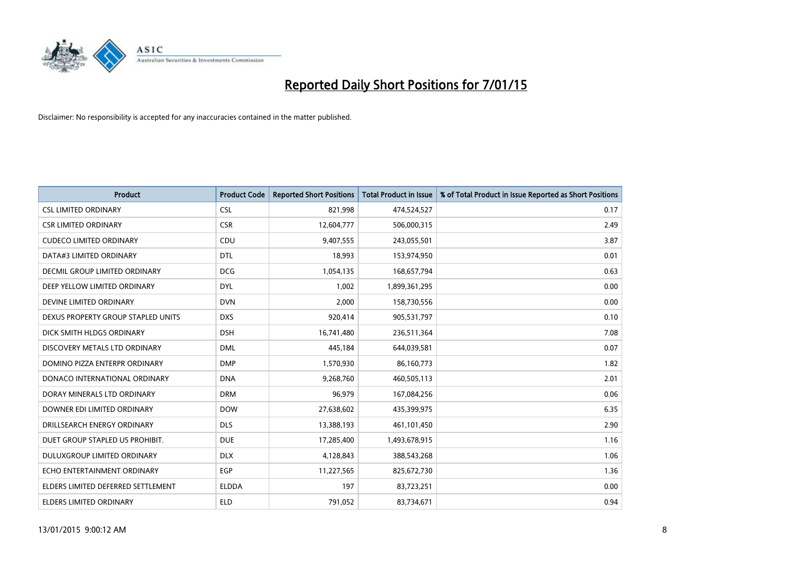

| <b>Product</b>                     | <b>Product Code</b> | <b>Reported Short Positions</b> | <b>Total Product in Issue</b> | % of Total Product in Issue Reported as Short Positions |
|------------------------------------|---------------------|---------------------------------|-------------------------------|---------------------------------------------------------|
| <b>CSL LIMITED ORDINARY</b>        | <b>CSL</b>          | 821,998                         | 474,524,527                   | 0.17                                                    |
| <b>CSR LIMITED ORDINARY</b>        | <b>CSR</b>          | 12,604,777                      | 506,000,315                   | 2.49                                                    |
| <b>CUDECO LIMITED ORDINARY</b>     | CDU                 | 9,407,555                       | 243,055,501                   | 3.87                                                    |
| DATA#3 LIMITED ORDINARY            | <b>DTL</b>          | 18,993                          | 153,974,950                   | 0.01                                                    |
| DECMIL GROUP LIMITED ORDINARY      | <b>DCG</b>          | 1,054,135                       | 168,657,794                   | 0.63                                                    |
| DEEP YELLOW LIMITED ORDINARY       | <b>DYL</b>          | 1,002                           | 1,899,361,295                 | 0.00                                                    |
| DEVINE LIMITED ORDINARY            | <b>DVN</b>          | 2,000                           | 158,730,556                   | 0.00                                                    |
| DEXUS PROPERTY GROUP STAPLED UNITS | <b>DXS</b>          | 920,414                         | 905,531,797                   | 0.10                                                    |
| DICK SMITH HLDGS ORDINARY          | <b>DSH</b>          | 16,741,480                      | 236,511,364                   | 7.08                                                    |
| DISCOVERY METALS LTD ORDINARY      | <b>DML</b>          | 445,184                         | 644,039,581                   | 0.07                                                    |
| DOMINO PIZZA ENTERPR ORDINARY      | <b>DMP</b>          | 1,570,930                       | 86,160,773                    | 1.82                                                    |
| DONACO INTERNATIONAL ORDINARY      | <b>DNA</b>          | 9,268,760                       | 460,505,113                   | 2.01                                                    |
| DORAY MINERALS LTD ORDINARY        | <b>DRM</b>          | 96,979                          | 167,084,256                   | 0.06                                                    |
| DOWNER EDI LIMITED ORDINARY        | <b>DOW</b>          | 27,638,602                      | 435,399,975                   | 6.35                                                    |
| DRILLSEARCH ENERGY ORDINARY        | <b>DLS</b>          | 13,388,193                      | 461,101,450                   | 2.90                                                    |
| DUET GROUP STAPLED US PROHIBIT.    | <b>DUE</b>          | 17,285,400                      | 1,493,678,915                 | 1.16                                                    |
| DULUXGROUP LIMITED ORDINARY        | <b>DLX</b>          | 4,128,843                       | 388,543,268                   | 1.06                                                    |
| ECHO ENTERTAINMENT ORDINARY        | <b>EGP</b>          | 11,227,565                      | 825,672,730                   | 1.36                                                    |
| ELDERS LIMITED DEFERRED SETTLEMENT | <b>ELDDA</b>        | 197                             | 83,723,251                    | 0.00                                                    |
| <b>ELDERS LIMITED ORDINARY</b>     | <b>ELD</b>          | 791,052                         | 83,734,671                    | 0.94                                                    |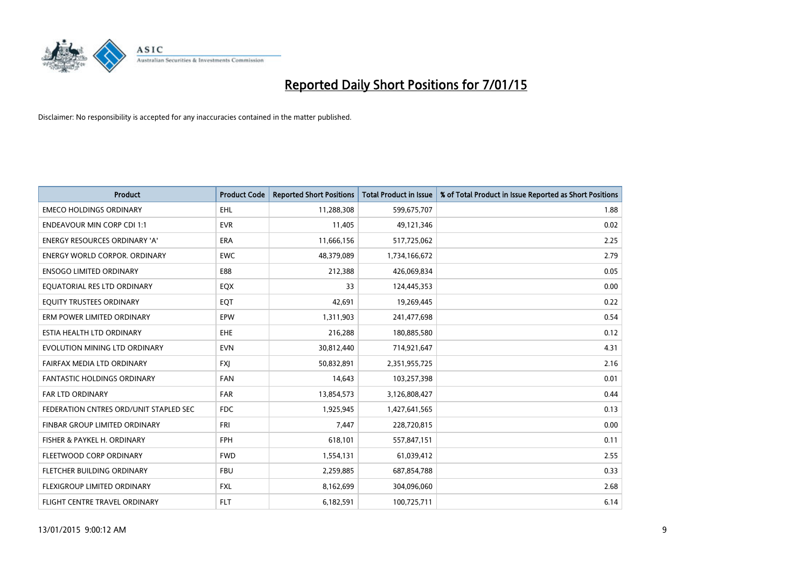

| <b>Product</b>                         | <b>Product Code</b> | <b>Reported Short Positions</b> | <b>Total Product in Issue</b> | % of Total Product in Issue Reported as Short Positions |
|----------------------------------------|---------------------|---------------------------------|-------------------------------|---------------------------------------------------------|
| <b>EMECO HOLDINGS ORDINARY</b>         | <b>EHL</b>          | 11,288,308                      | 599,675,707                   | 1.88                                                    |
| <b>ENDEAVOUR MIN CORP CDI 1:1</b>      | <b>EVR</b>          | 11,405                          | 49,121,346                    | 0.02                                                    |
| <b>ENERGY RESOURCES ORDINARY 'A'</b>   | <b>ERA</b>          | 11,666,156                      | 517,725,062                   | 2.25                                                    |
| ENERGY WORLD CORPOR. ORDINARY          | <b>EWC</b>          | 48,379,089                      | 1,734,166,672                 | 2.79                                                    |
| <b>ENSOGO LIMITED ORDINARY</b>         | E88                 | 212,388                         | 426,069,834                   | 0.05                                                    |
| EQUATORIAL RES LTD ORDINARY            | EQX                 | 33                              | 124,445,353                   | 0.00                                                    |
| EQUITY TRUSTEES ORDINARY               | EQT                 | 42,691                          | 19,269,445                    | 0.22                                                    |
| ERM POWER LIMITED ORDINARY             | EPW                 | 1,311,903                       | 241,477,698                   | 0.54                                                    |
| ESTIA HEALTH LTD ORDINARY              | EHE                 | 216,288                         | 180,885,580                   | 0.12                                                    |
| EVOLUTION MINING LTD ORDINARY          | <b>EVN</b>          | 30,812,440                      | 714,921,647                   | 4.31                                                    |
| FAIRFAX MEDIA LTD ORDINARY             | <b>FXI</b>          | 50,832,891                      | 2,351,955,725                 | 2.16                                                    |
| <b>FANTASTIC HOLDINGS ORDINARY</b>     | <b>FAN</b>          | 14,643                          | 103,257,398                   | 0.01                                                    |
| FAR LTD ORDINARY                       | FAR                 | 13,854,573                      | 3,126,808,427                 | 0.44                                                    |
| FEDERATION CNTRES ORD/UNIT STAPLED SEC | <b>FDC</b>          | 1,925,945                       | 1,427,641,565                 | 0.13                                                    |
| FINBAR GROUP LIMITED ORDINARY          | <b>FRI</b>          | 7,447                           | 228,720,815                   | 0.00                                                    |
| FISHER & PAYKEL H. ORDINARY            | <b>FPH</b>          | 618,101                         | 557,847,151                   | 0.11                                                    |
| FLEETWOOD CORP ORDINARY                | <b>FWD</b>          | 1,554,131                       | 61,039,412                    | 2.55                                                    |
| FLETCHER BUILDING ORDINARY             | <b>FBU</b>          | 2,259,885                       | 687,854,788                   | 0.33                                                    |
| FLEXIGROUP LIMITED ORDINARY            | <b>FXL</b>          | 8,162,699                       | 304,096,060                   | 2.68                                                    |
| FLIGHT CENTRE TRAVEL ORDINARY          | <b>FLT</b>          | 6,182,591                       | 100,725,711                   | 6.14                                                    |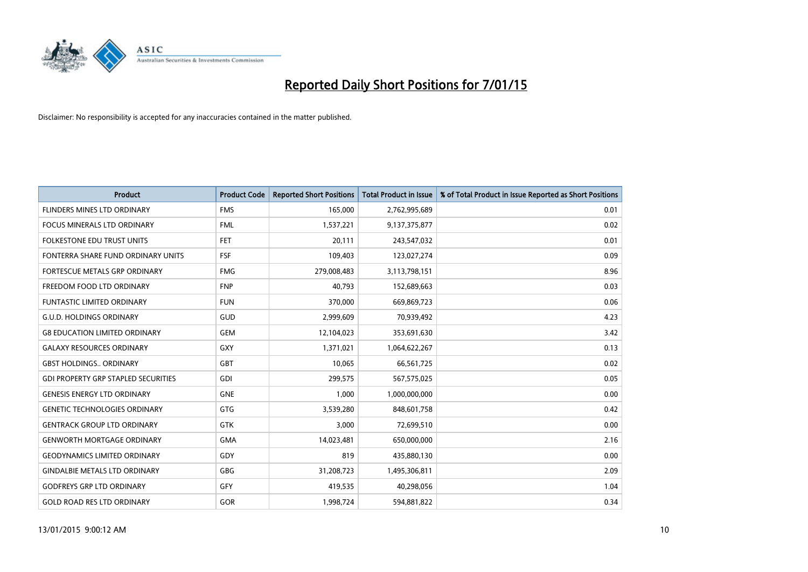

| <b>Product</b>                             | <b>Product Code</b> | <b>Reported Short Positions</b> | <b>Total Product in Issue</b> | % of Total Product in Issue Reported as Short Positions |
|--------------------------------------------|---------------------|---------------------------------|-------------------------------|---------------------------------------------------------|
| <b>FLINDERS MINES LTD ORDINARY</b>         | <b>FMS</b>          | 165,000                         | 2,762,995,689                 | 0.01                                                    |
| FOCUS MINERALS LTD ORDINARY                | <b>FML</b>          | 1,537,221                       | 9,137,375,877                 | 0.02                                                    |
| <b>FOLKESTONE EDU TRUST UNITS</b>          | <b>FET</b>          | 20,111                          | 243,547,032                   | 0.01                                                    |
| FONTERRA SHARE FUND ORDINARY UNITS         | <b>FSF</b>          | 109,403                         | 123,027,274                   | 0.09                                                    |
| <b>FORTESCUE METALS GRP ORDINARY</b>       | <b>FMG</b>          | 279,008,483                     | 3,113,798,151                 | 8.96                                                    |
| FREEDOM FOOD LTD ORDINARY                  | <b>FNP</b>          | 40,793                          | 152,689,663                   | 0.03                                                    |
| <b>FUNTASTIC LIMITED ORDINARY</b>          | <b>FUN</b>          | 370,000                         | 669,869,723                   | 0.06                                                    |
| <b>G.U.D. HOLDINGS ORDINARY</b>            | GUD                 | 2,999,609                       | 70,939,492                    | 4.23                                                    |
| <b>G8 EDUCATION LIMITED ORDINARY</b>       | <b>GEM</b>          | 12,104,023                      | 353,691,630                   | 3.42                                                    |
| <b>GALAXY RESOURCES ORDINARY</b>           | GXY                 | 1,371,021                       | 1,064,622,267                 | 0.13                                                    |
| <b>GBST HOLDINGS ORDINARY</b>              | GBT                 | 10,065                          | 66,561,725                    | 0.02                                                    |
| <b>GDI PROPERTY GRP STAPLED SECURITIES</b> | GDI                 | 299,575                         | 567,575,025                   | 0.05                                                    |
| <b>GENESIS ENERGY LTD ORDINARY</b>         | <b>GNE</b>          | 1,000                           | 1,000,000,000                 | 0.00                                                    |
| <b>GENETIC TECHNOLOGIES ORDINARY</b>       | GTG                 | 3,539,280                       | 848,601,758                   | 0.42                                                    |
| <b>GENTRACK GROUP LTD ORDINARY</b>         | <b>GTK</b>          | 3,000                           | 72,699,510                    | 0.00                                                    |
| <b>GENWORTH MORTGAGE ORDINARY</b>          | <b>GMA</b>          | 14,023,481                      | 650,000,000                   | 2.16                                                    |
| <b>GEODYNAMICS LIMITED ORDINARY</b>        | GDY                 | 819                             | 435,880,130                   | 0.00                                                    |
| <b>GINDALBIE METALS LTD ORDINARY</b>       | <b>GBG</b>          | 31,208,723                      | 1,495,306,811                 | 2.09                                                    |
| <b>GODFREYS GRP LTD ORDINARY</b>           | GFY                 | 419,535                         | 40,298,056                    | 1.04                                                    |
| <b>GOLD ROAD RES LTD ORDINARY</b>          | GOR                 | 1,998,724                       | 594,881,822                   | 0.34                                                    |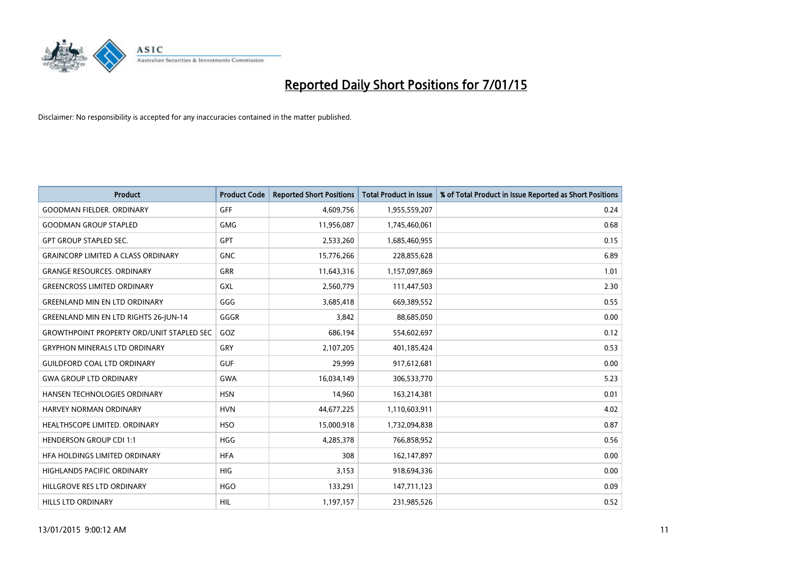

| <b>Product</b>                                   | <b>Product Code</b> | <b>Reported Short Positions</b> | <b>Total Product in Issue</b> | % of Total Product in Issue Reported as Short Positions |
|--------------------------------------------------|---------------------|---------------------------------|-------------------------------|---------------------------------------------------------|
| <b>GOODMAN FIELDER, ORDINARY</b>                 | <b>GFF</b>          | 4,609,756                       | 1,955,559,207                 | 0.24                                                    |
| <b>GOODMAN GROUP STAPLED</b>                     | <b>GMG</b>          | 11,956,087                      | 1,745,460,061                 | 0.68                                                    |
| <b>GPT GROUP STAPLED SEC.</b>                    | GPT                 | 2,533,260                       | 1,685,460,955                 | 0.15                                                    |
| <b>GRAINCORP LIMITED A CLASS ORDINARY</b>        | <b>GNC</b>          | 15,776,266                      | 228,855,628                   | 6.89                                                    |
| <b>GRANGE RESOURCES, ORDINARY</b>                | <b>GRR</b>          | 11,643,316                      | 1,157,097,869                 | 1.01                                                    |
| <b>GREENCROSS LIMITED ORDINARY</b>               | <b>GXL</b>          | 2,560,779                       | 111,447,503                   | 2.30                                                    |
| <b>GREENLAND MIN EN LTD ORDINARY</b>             | GGG                 | 3,685,418                       | 669,389,552                   | 0.55                                                    |
| <b>GREENLAND MIN EN LTD RIGHTS 26-JUN-14</b>     | GGGR                | 3,842                           | 88,685,050                    | 0.00                                                    |
| <b>GROWTHPOINT PROPERTY ORD/UNIT STAPLED SEC</b> | GOZ                 | 686,194                         | 554,602,697                   | 0.12                                                    |
| <b>GRYPHON MINERALS LTD ORDINARY</b>             | GRY                 | 2,107,205                       | 401,185,424                   | 0.53                                                    |
| <b>GUILDFORD COAL LTD ORDINARY</b>               | <b>GUF</b>          | 29,999                          | 917,612,681                   | 0.00                                                    |
| <b>GWA GROUP LTD ORDINARY</b>                    | <b>GWA</b>          | 16,034,149                      | 306,533,770                   | 5.23                                                    |
| HANSEN TECHNOLOGIES ORDINARY                     | <b>HSN</b>          | 14,960                          | 163,214,381                   | 0.01                                                    |
| HARVEY NORMAN ORDINARY                           | <b>HVN</b>          | 44,677,225                      | 1,110,603,911                 | 4.02                                                    |
| HEALTHSCOPE LIMITED. ORDINARY                    | <b>HSO</b>          | 15,000,918                      | 1,732,094,838                 | 0.87                                                    |
| <b>HENDERSON GROUP CDI 1:1</b>                   | HGG                 | 4,285,378                       | 766,858,952                   | 0.56                                                    |
| HFA HOLDINGS LIMITED ORDINARY                    | <b>HFA</b>          | 308                             | 162,147,897                   | 0.00                                                    |
| <b>HIGHLANDS PACIFIC ORDINARY</b>                | <b>HIG</b>          | 3,153                           | 918,694,336                   | 0.00                                                    |
| HILLGROVE RES LTD ORDINARY                       | <b>HGO</b>          | 133,291                         | 147,711,123                   | 0.09                                                    |
| <b>HILLS LTD ORDINARY</b>                        | HIL                 | 1,197,157                       | 231,985,526                   | 0.52                                                    |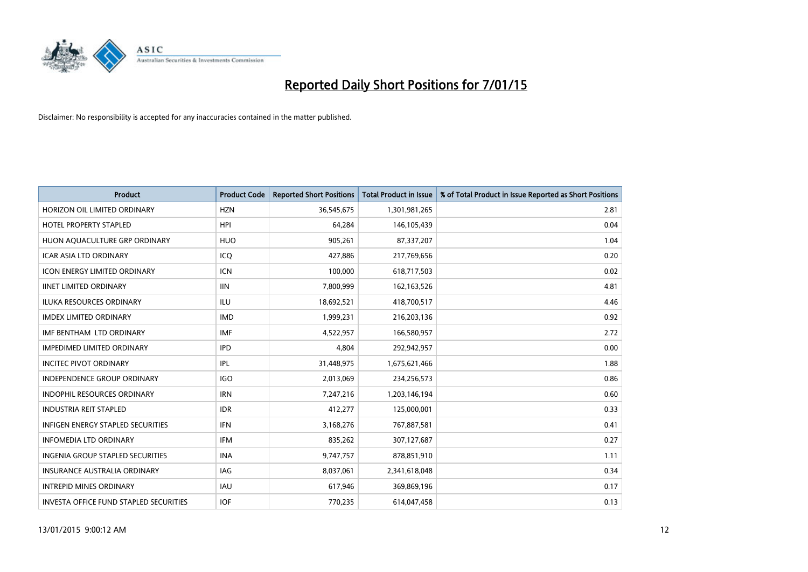

| <b>Product</b>                                | <b>Product Code</b> | <b>Reported Short Positions</b> | <b>Total Product in Issue</b> | % of Total Product in Issue Reported as Short Positions |
|-----------------------------------------------|---------------------|---------------------------------|-------------------------------|---------------------------------------------------------|
| HORIZON OIL LIMITED ORDINARY                  | <b>HZN</b>          | 36,545,675                      | 1,301,981,265                 | 2.81                                                    |
| <b>HOTEL PROPERTY STAPLED</b>                 | <b>HPI</b>          | 64,284                          | 146, 105, 439                 | 0.04                                                    |
| HUON AQUACULTURE GRP ORDINARY                 | <b>HUO</b>          | 905,261                         | 87,337,207                    | 1.04                                                    |
| <b>ICAR ASIA LTD ORDINARY</b>                 | ICO                 | 427,886                         | 217,769,656                   | 0.20                                                    |
| <b>ICON ENERGY LIMITED ORDINARY</b>           | <b>ICN</b>          | 100,000                         | 618,717,503                   | 0.02                                                    |
| <b>IINET LIMITED ORDINARY</b>                 | <b>IIN</b>          | 7,800,999                       | 162,163,526                   | 4.81                                                    |
| <b>ILUKA RESOURCES ORDINARY</b>               | ILU                 | 18,692,521                      | 418,700,517                   | 4.46                                                    |
| <b>IMDEX LIMITED ORDINARY</b>                 | <b>IMD</b>          | 1,999,231                       | 216,203,136                   | 0.92                                                    |
| IMF BENTHAM LTD ORDINARY                      | <b>IMF</b>          | 4,522,957                       | 166,580,957                   | 2.72                                                    |
| <b>IMPEDIMED LIMITED ORDINARY</b>             | <b>IPD</b>          | 4,804                           | 292,942,957                   | 0.00                                                    |
| <b>INCITEC PIVOT ORDINARY</b>                 | IPL                 | 31,448,975                      | 1,675,621,466                 | 1.88                                                    |
| <b>INDEPENDENCE GROUP ORDINARY</b>            | <b>IGO</b>          | 2,013,069                       | 234,256,573                   | 0.86                                                    |
| <b>INDOPHIL RESOURCES ORDINARY</b>            | <b>IRN</b>          | 7,247,216                       | 1,203,146,194                 | 0.60                                                    |
| <b>INDUSTRIA REIT STAPLED</b>                 | <b>IDR</b>          | 412,277                         | 125,000,001                   | 0.33                                                    |
| <b>INFIGEN ENERGY STAPLED SECURITIES</b>      | <b>IFN</b>          | 3,168,276                       | 767,887,581                   | 0.41                                                    |
| <b>INFOMEDIA LTD ORDINARY</b>                 | <b>IFM</b>          | 835,262                         | 307,127,687                   | 0.27                                                    |
| <b>INGENIA GROUP STAPLED SECURITIES</b>       | <b>INA</b>          | 9,747,757                       | 878,851,910                   | 1.11                                                    |
| <b>INSURANCE AUSTRALIA ORDINARY</b>           | IAG                 | 8,037,061                       | 2,341,618,048                 | 0.34                                                    |
| <b>INTREPID MINES ORDINARY</b>                | <b>IAU</b>          | 617,946                         | 369,869,196                   | 0.17                                                    |
| <b>INVESTA OFFICE FUND STAPLED SECURITIES</b> | <b>IOF</b>          | 770,235                         | 614,047,458                   | 0.13                                                    |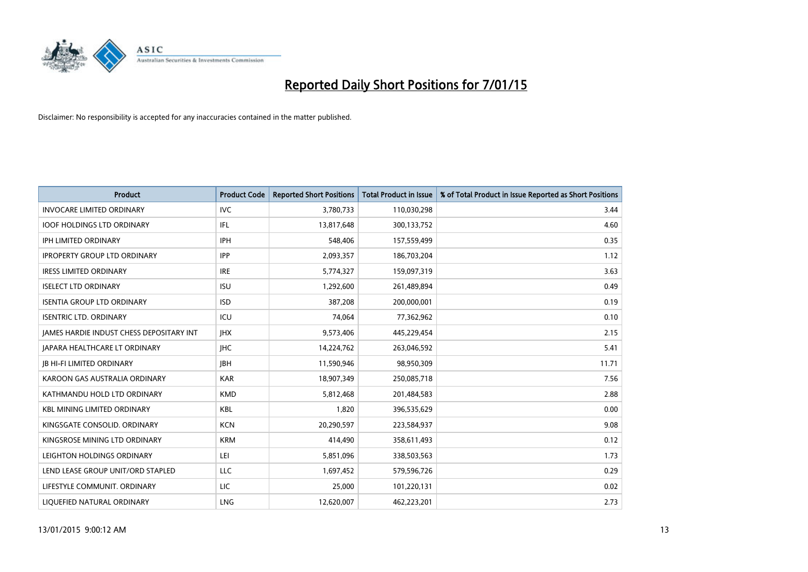

| Product                                         | <b>Product Code</b> | <b>Reported Short Positions</b> | <b>Total Product in Issue</b> | % of Total Product in Issue Reported as Short Positions |
|-------------------------------------------------|---------------------|---------------------------------|-------------------------------|---------------------------------------------------------|
| <b>INVOCARE LIMITED ORDINARY</b>                | <b>IVC</b>          | 3,780,733                       | 110,030,298                   | 3.44                                                    |
| <b>IOOF HOLDINGS LTD ORDINARY</b>               | IFL                 | 13,817,648                      | 300,133,752                   | 4.60                                                    |
| IPH LIMITED ORDINARY                            | <b>IPH</b>          | 548,406                         | 157,559,499                   | 0.35                                                    |
| <b>IPROPERTY GROUP LTD ORDINARY</b>             | <b>IPP</b>          | 2,093,357                       | 186,703,204                   | 1.12                                                    |
| <b>IRESS LIMITED ORDINARY</b>                   | <b>IRE</b>          | 5,774,327                       | 159,097,319                   | 3.63                                                    |
| <b>ISELECT LTD ORDINARY</b>                     | <b>ISU</b>          | 1,292,600                       | 261,489,894                   | 0.49                                                    |
| <b>ISENTIA GROUP LTD ORDINARY</b>               | <b>ISD</b>          | 387,208                         | 200,000,001                   | 0.19                                                    |
| <b>ISENTRIC LTD. ORDINARY</b>                   | ICU                 | 74,064                          | 77,362,962                    | 0.10                                                    |
| <b>JAMES HARDIE INDUST CHESS DEPOSITARY INT</b> | <b>IHX</b>          | 9,573,406                       | 445,229,454                   | 2.15                                                    |
| JAPARA HEALTHCARE LT ORDINARY                   | <b>IHC</b>          | 14,224,762                      | 263,046,592                   | 5.41                                                    |
| <b>JB HI-FI LIMITED ORDINARY</b>                | <b>JBH</b>          | 11,590,946                      | 98,950,309                    | 11.71                                                   |
| KAROON GAS AUSTRALIA ORDINARY                   | <b>KAR</b>          | 18,907,349                      | 250,085,718                   | 7.56                                                    |
| KATHMANDU HOLD LTD ORDINARY                     | <b>KMD</b>          | 5,812,468                       | 201,484,583                   | 2.88                                                    |
| <b>KBL MINING LIMITED ORDINARY</b>              | <b>KBL</b>          | 1,820                           | 396,535,629                   | 0.00                                                    |
| KINGSGATE CONSOLID, ORDINARY                    | <b>KCN</b>          | 20,290,597                      | 223,584,937                   | 9.08                                                    |
| KINGSROSE MINING LTD ORDINARY                   | <b>KRM</b>          | 414,490                         | 358,611,493                   | 0.12                                                    |
| LEIGHTON HOLDINGS ORDINARY                      | LEI                 | 5,851,096                       | 338,503,563                   | 1.73                                                    |
| LEND LEASE GROUP UNIT/ORD STAPLED               | LLC                 | 1,697,452                       | 579,596,726                   | 0.29                                                    |
| LIFESTYLE COMMUNIT. ORDINARY                    | LIC                 | 25,000                          | 101,220,131                   | 0.02                                                    |
| LIQUEFIED NATURAL ORDINARY                      | <b>LNG</b>          | 12,620,007                      | 462,223,201                   | 2.73                                                    |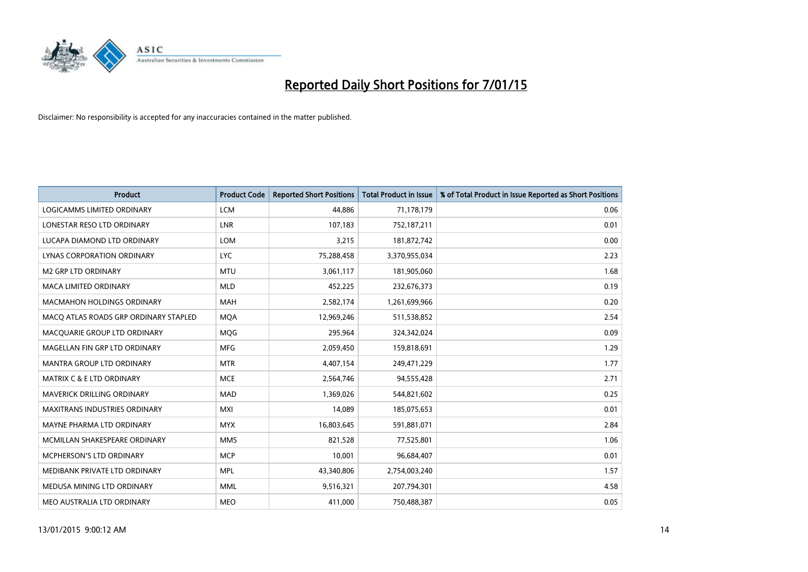

| <b>Product</b>                        | <b>Product Code</b> | <b>Reported Short Positions</b> | <b>Total Product in Issue</b> | % of Total Product in Issue Reported as Short Positions |
|---------------------------------------|---------------------|---------------------------------|-------------------------------|---------------------------------------------------------|
| <b>LOGICAMMS LIMITED ORDINARY</b>     | <b>LCM</b>          | 44,886                          | 71,178,179                    | 0.06                                                    |
| LONESTAR RESO LTD ORDINARY            | LNR                 | 107,183                         | 752,187,211                   | 0.01                                                    |
| LUCAPA DIAMOND LTD ORDINARY           | <b>LOM</b>          | 3,215                           | 181,872,742                   | 0.00                                                    |
| LYNAS CORPORATION ORDINARY            | <b>LYC</b>          | 75,288,458                      | 3,370,955,034                 | 2.23                                                    |
| <b>M2 GRP LTD ORDINARY</b>            | <b>MTU</b>          | 3,061,117                       | 181,905,060                   | 1.68                                                    |
| <b>MACA LIMITED ORDINARY</b>          | <b>MLD</b>          | 452,225                         | 232,676,373                   | 0.19                                                    |
| <b>MACMAHON HOLDINGS ORDINARY</b>     | MAH                 | 2,582,174                       | 1,261,699,966                 | 0.20                                                    |
| MACO ATLAS ROADS GRP ORDINARY STAPLED | <b>MOA</b>          | 12,969,246                      | 511,538,852                   | 2.54                                                    |
| MACQUARIE GROUP LTD ORDINARY          | <b>MOG</b>          | 295,964                         | 324,342,024                   | 0.09                                                    |
| MAGELLAN FIN GRP LTD ORDINARY         | <b>MFG</b>          | 2,059,450                       | 159,818,691                   | 1.29                                                    |
| MANTRA GROUP LTD ORDINARY             | <b>MTR</b>          | 4,407,154                       | 249,471,229                   | 1.77                                                    |
| <b>MATRIX C &amp; E LTD ORDINARY</b>  | <b>MCE</b>          | 2,564,746                       | 94,555,428                    | 2.71                                                    |
| MAVERICK DRILLING ORDINARY            | <b>MAD</b>          | 1,369,026                       | 544,821,602                   | 0.25                                                    |
| <b>MAXITRANS INDUSTRIES ORDINARY</b>  | <b>MXI</b>          | 14,089                          | 185,075,653                   | 0.01                                                    |
| MAYNE PHARMA LTD ORDINARY             | <b>MYX</b>          | 16,803,645                      | 591,881,071                   | 2.84                                                    |
| MCMILLAN SHAKESPEARE ORDINARY         | <b>MMS</b>          | 821,528                         | 77,525,801                    | 1.06                                                    |
| MCPHERSON'S LTD ORDINARY              | <b>MCP</b>          | 10,001                          | 96,684,407                    | 0.01                                                    |
| MEDIBANK PRIVATE LTD ORDINARY         | <b>MPL</b>          | 43,340,806                      | 2,754,003,240                 | 1.57                                                    |
| MEDUSA MINING LTD ORDINARY            | <b>MML</b>          | 9,516,321                       | 207,794,301                   | 4.58                                                    |
| MEO AUSTRALIA LTD ORDINARY            | <b>MEO</b>          | 411,000                         | 750,488,387                   | 0.05                                                    |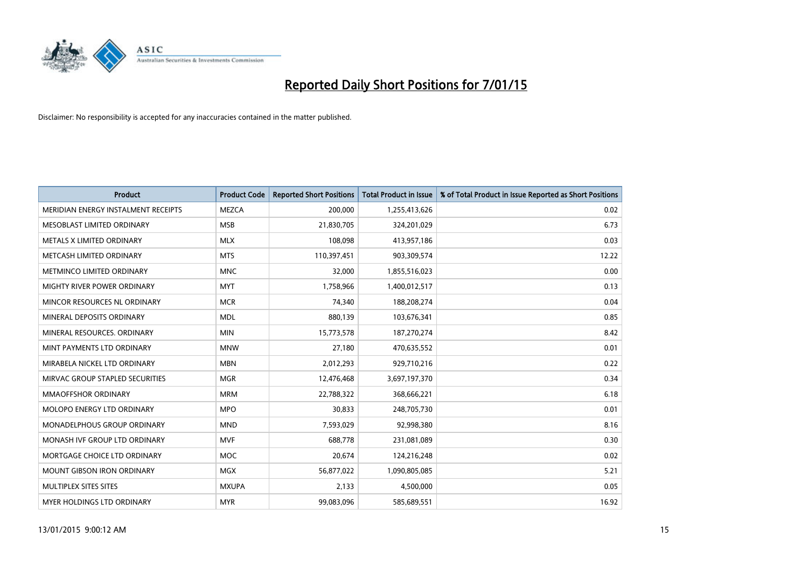

| <b>Product</b>                      | <b>Product Code</b> | <b>Reported Short Positions</b> | <b>Total Product in Issue</b> | % of Total Product in Issue Reported as Short Positions |
|-------------------------------------|---------------------|---------------------------------|-------------------------------|---------------------------------------------------------|
| MERIDIAN ENERGY INSTALMENT RECEIPTS | <b>MEZCA</b>        | 200,000                         | 1,255,413,626                 | 0.02                                                    |
| MESOBLAST LIMITED ORDINARY          | <b>MSB</b>          | 21,830,705                      | 324,201,029                   | 6.73                                                    |
| METALS X LIMITED ORDINARY           | <b>MLX</b>          | 108,098                         | 413,957,186                   | 0.03                                                    |
| METCASH LIMITED ORDINARY            | <b>MTS</b>          | 110,397,451                     | 903,309,574                   | 12.22                                                   |
| METMINCO LIMITED ORDINARY           | <b>MNC</b>          | 32,000                          | 1,855,516,023                 | 0.00                                                    |
| MIGHTY RIVER POWER ORDINARY         | <b>MYT</b>          | 1,758,966                       | 1,400,012,517                 | 0.13                                                    |
| MINCOR RESOURCES NL ORDINARY        | <b>MCR</b>          | 74,340                          | 188,208,274                   | 0.04                                                    |
| MINERAL DEPOSITS ORDINARY           | <b>MDL</b>          | 880,139                         | 103,676,341                   | 0.85                                                    |
| MINERAL RESOURCES, ORDINARY         | <b>MIN</b>          | 15,773,578                      | 187,270,274                   | 8.42                                                    |
| MINT PAYMENTS LTD ORDINARY          | <b>MNW</b>          | 27,180                          | 470,635,552                   | 0.01                                                    |
| MIRABELA NICKEL LTD ORDINARY        | <b>MBN</b>          | 2,012,293                       | 929,710,216                   | 0.22                                                    |
| MIRVAC GROUP STAPLED SECURITIES     | <b>MGR</b>          | 12,476,468                      | 3,697,197,370                 | 0.34                                                    |
| MMAOFFSHOR ORDINARY                 | <b>MRM</b>          | 22,788,322                      | 368,666,221                   | 6.18                                                    |
| MOLOPO ENERGY LTD ORDINARY          | <b>MPO</b>          | 30,833                          | 248,705,730                   | 0.01                                                    |
| MONADELPHOUS GROUP ORDINARY         | <b>MND</b>          | 7,593,029                       | 92,998,380                    | 8.16                                                    |
| MONASH IVF GROUP LTD ORDINARY       | MVF                 | 688,778                         | 231,081,089                   | 0.30                                                    |
| MORTGAGE CHOICE LTD ORDINARY        | MOC                 | 20,674                          | 124,216,248                   | 0.02                                                    |
| <b>MOUNT GIBSON IRON ORDINARY</b>   | <b>MGX</b>          | 56,877,022                      | 1,090,805,085                 | 5.21                                                    |
| MULTIPLEX SITES SITES               | <b>MXUPA</b>        | 2,133                           | 4,500,000                     | 0.05                                                    |
| MYER HOLDINGS LTD ORDINARY          | <b>MYR</b>          | 99,083,096                      | 585,689,551                   | 16.92                                                   |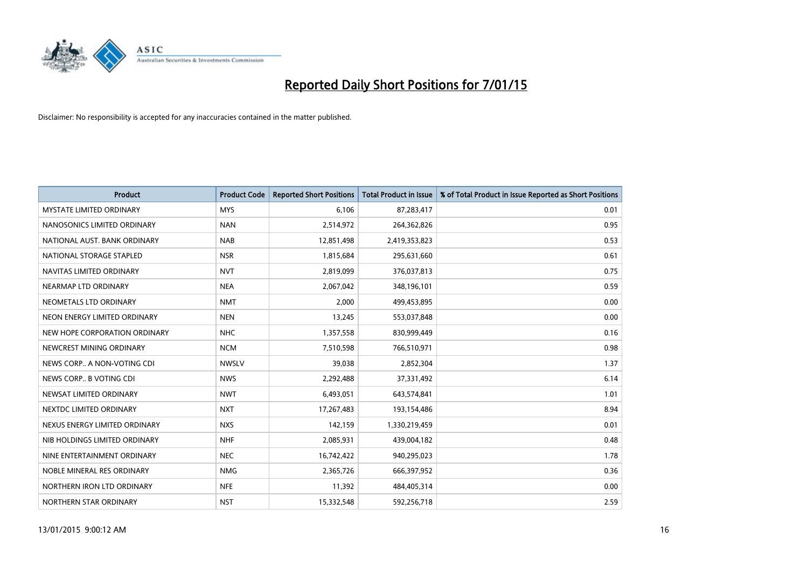

| <b>Product</b>                  | <b>Product Code</b> | <b>Reported Short Positions</b> | <b>Total Product in Issue</b> | % of Total Product in Issue Reported as Short Positions |
|---------------------------------|---------------------|---------------------------------|-------------------------------|---------------------------------------------------------|
| <b>MYSTATE LIMITED ORDINARY</b> | <b>MYS</b>          | 6,106                           | 87,283,417                    | 0.01                                                    |
| NANOSONICS LIMITED ORDINARY     | <b>NAN</b>          | 2,514,972                       | 264,362,826                   | 0.95                                                    |
| NATIONAL AUST. BANK ORDINARY    | <b>NAB</b>          | 12,851,498                      | 2,419,353,823                 | 0.53                                                    |
| NATIONAL STORAGE STAPLED        | <b>NSR</b>          | 1,815,684                       | 295,631,660                   | 0.61                                                    |
| NAVITAS LIMITED ORDINARY        | <b>NVT</b>          | 2,819,099                       | 376,037,813                   | 0.75                                                    |
| NEARMAP LTD ORDINARY            | <b>NEA</b>          | 2,067,042                       | 348,196,101                   | 0.59                                                    |
| NEOMETALS LTD ORDINARY          | <b>NMT</b>          | 2,000                           | 499,453,895                   | 0.00                                                    |
| NEON ENERGY LIMITED ORDINARY    | <b>NEN</b>          | 13,245                          | 553,037,848                   | 0.00                                                    |
| NEW HOPE CORPORATION ORDINARY   | <b>NHC</b>          | 1,357,558                       | 830,999,449                   | 0.16                                                    |
| NEWCREST MINING ORDINARY        | <b>NCM</b>          | 7,510,598                       | 766,510,971                   | 0.98                                                    |
| NEWS CORP A NON-VOTING CDI      | <b>NWSLV</b>        | 39,038                          | 2,852,304                     | 1.37                                                    |
| NEWS CORP B VOTING CDI          | <b>NWS</b>          | 2,292,488                       | 37,331,492                    | 6.14                                                    |
| NEWSAT LIMITED ORDINARY         | <b>NWT</b>          | 6,493,051                       | 643,574,841                   | 1.01                                                    |
| NEXTDC LIMITED ORDINARY         | <b>NXT</b>          | 17,267,483                      | 193,154,486                   | 8.94                                                    |
| NEXUS ENERGY LIMITED ORDINARY   | <b>NXS</b>          | 142,159                         | 1,330,219,459                 | 0.01                                                    |
| NIB HOLDINGS LIMITED ORDINARY   | <b>NHF</b>          | 2,085,931                       | 439,004,182                   | 0.48                                                    |
| NINE ENTERTAINMENT ORDINARY     | <b>NEC</b>          | 16,742,422                      | 940,295,023                   | 1.78                                                    |
| NOBLE MINERAL RES ORDINARY      | <b>NMG</b>          | 2,365,726                       | 666,397,952                   | 0.36                                                    |
| NORTHERN IRON LTD ORDINARY      | <b>NFE</b>          | 11,392                          | 484,405,314                   | 0.00                                                    |
| NORTHERN STAR ORDINARY          | <b>NST</b>          | 15,332,548                      | 592,256,718                   | 2.59                                                    |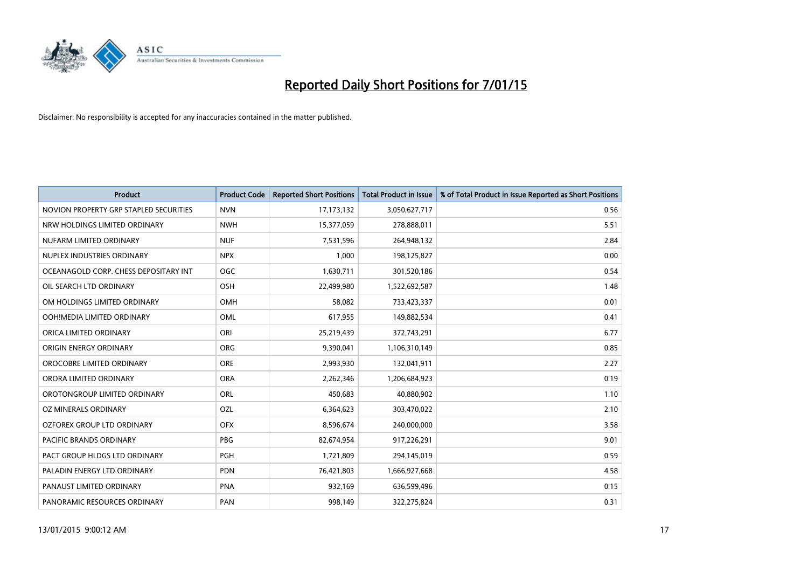

| <b>Product</b>                         | <b>Product Code</b> | <b>Reported Short Positions</b> | <b>Total Product in Issue</b> | % of Total Product in Issue Reported as Short Positions |
|----------------------------------------|---------------------|---------------------------------|-------------------------------|---------------------------------------------------------|
| NOVION PROPERTY GRP STAPLED SECURITIES | <b>NVN</b>          | 17, 173, 132                    | 3,050,627,717                 | 0.56                                                    |
| NRW HOLDINGS LIMITED ORDINARY          | <b>NWH</b>          | 15,377,059                      | 278,888,011                   | 5.51                                                    |
| NUFARM LIMITED ORDINARY                | <b>NUF</b>          | 7,531,596                       | 264,948,132                   | 2.84                                                    |
| NUPLEX INDUSTRIES ORDINARY             | <b>NPX</b>          | 1.000                           | 198,125,827                   | 0.00                                                    |
| OCEANAGOLD CORP. CHESS DEPOSITARY INT  | <b>OGC</b>          | 1,630,711                       | 301,520,186                   | 0.54                                                    |
| OIL SEARCH LTD ORDINARY                | OSH                 | 22,499,980                      | 1,522,692,587                 | 1.48                                                    |
| OM HOLDINGS LIMITED ORDINARY           | OMH                 | 58,082                          | 733,423,337                   | 0.01                                                    |
| OOH!MEDIA LIMITED ORDINARY             | <b>OML</b>          | 617,955                         | 149,882,534                   | 0.41                                                    |
| ORICA LIMITED ORDINARY                 | ORI                 | 25,219,439                      | 372,743,291                   | 6.77                                                    |
| ORIGIN ENERGY ORDINARY                 | ORG                 | 9,390,041                       | 1,106,310,149                 | 0.85                                                    |
| OROCOBRE LIMITED ORDINARY              | <b>ORE</b>          | 2,993,930                       | 132,041,911                   | 2.27                                                    |
| ORORA LIMITED ORDINARY                 | <b>ORA</b>          | 2,262,346                       | 1,206,684,923                 | 0.19                                                    |
| OROTONGROUP LIMITED ORDINARY           | <b>ORL</b>          | 450,683                         | 40,880,902                    | 1.10                                                    |
| OZ MINERALS ORDINARY                   | OZL                 | 6,364,623                       | 303,470,022                   | 2.10                                                    |
| OZFOREX GROUP LTD ORDINARY             | <b>OFX</b>          | 8,596,674                       | 240,000,000                   | 3.58                                                    |
| PACIFIC BRANDS ORDINARY                | <b>PBG</b>          | 82,674,954                      | 917,226,291                   | 9.01                                                    |
| PACT GROUP HLDGS LTD ORDINARY          | PGH                 | 1,721,809                       | 294,145,019                   | 0.59                                                    |
| PALADIN ENERGY LTD ORDINARY            | <b>PDN</b>          | 76,421,803                      | 1,666,927,668                 | 4.58                                                    |
| PANAUST LIMITED ORDINARY               | <b>PNA</b>          | 932,169                         | 636,599,496                   | 0.15                                                    |
| PANORAMIC RESOURCES ORDINARY           | PAN                 | 998,149                         | 322,275,824                   | 0.31                                                    |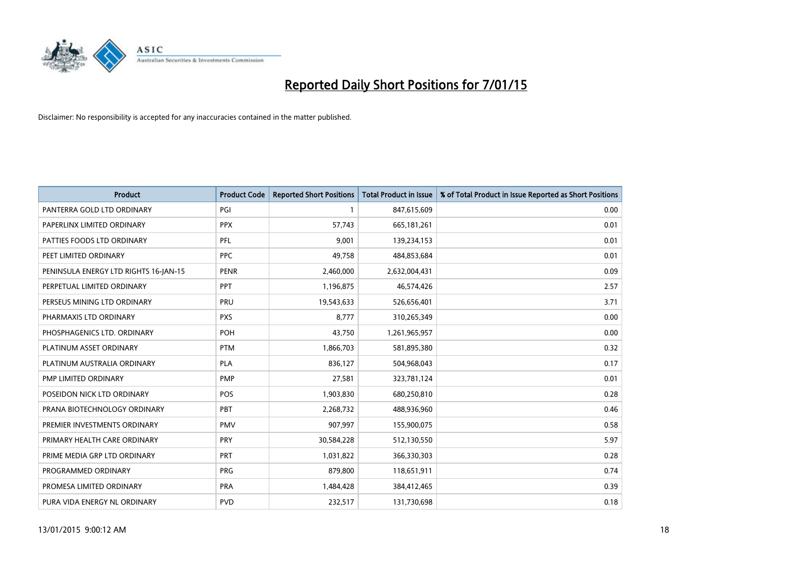

| <b>Product</b>                        | <b>Product Code</b> | <b>Reported Short Positions</b> | <b>Total Product in Issue</b> | % of Total Product in Issue Reported as Short Positions |
|---------------------------------------|---------------------|---------------------------------|-------------------------------|---------------------------------------------------------|
| PANTERRA GOLD LTD ORDINARY            | PGI                 | 1                               | 847,615,609                   | 0.00                                                    |
| PAPERLINX LIMITED ORDINARY            | <b>PPX</b>          | 57,743                          | 665, 181, 261                 | 0.01                                                    |
| PATTIES FOODS LTD ORDINARY            | PFL                 | 9,001                           | 139,234,153                   | 0.01                                                    |
| PEET LIMITED ORDINARY                 | <b>PPC</b>          | 49,758                          | 484,853,684                   | 0.01                                                    |
| PENINSULA ENERGY LTD RIGHTS 16-JAN-15 | <b>PENR</b>         | 2,460,000                       | 2,632,004,431                 | 0.09                                                    |
| PERPETUAL LIMITED ORDINARY            | <b>PPT</b>          | 1,196,875                       | 46,574,426                    | 2.57                                                    |
| PERSEUS MINING LTD ORDINARY           | PRU                 | 19,543,633                      | 526,656,401                   | 3.71                                                    |
| PHARMAXIS LTD ORDINARY                | <b>PXS</b>          | 8,777                           | 310,265,349                   | 0.00                                                    |
| PHOSPHAGENICS LTD. ORDINARY           | <b>POH</b>          | 43.750                          | 1,261,965,957                 | 0.00                                                    |
| PLATINUM ASSET ORDINARY               | <b>PTM</b>          | 1,866,703                       | 581,895,380                   | 0.32                                                    |
| PLATINUM AUSTRALIA ORDINARY           | <b>PLA</b>          | 836,127                         | 504,968,043                   | 0.17                                                    |
| PMP LIMITED ORDINARY                  | <b>PMP</b>          | 27,581                          | 323,781,124                   | 0.01                                                    |
| POSEIDON NICK LTD ORDINARY            | <b>POS</b>          | 1,903,830                       | 680,250,810                   | 0.28                                                    |
| PRANA BIOTECHNOLOGY ORDINARY          | <b>PBT</b>          | 2,268,732                       | 488,936,960                   | 0.46                                                    |
| PREMIER INVESTMENTS ORDINARY          | <b>PMV</b>          | 907,997                         | 155,900,075                   | 0.58                                                    |
| PRIMARY HEALTH CARE ORDINARY          | <b>PRY</b>          | 30,584,228                      | 512,130,550                   | 5.97                                                    |
| PRIME MEDIA GRP LTD ORDINARY          | PRT                 | 1,031,822                       | 366,330,303                   | 0.28                                                    |
| PROGRAMMED ORDINARY                   | <b>PRG</b>          | 879,800                         | 118,651,911                   | 0.74                                                    |
| PROMESA LIMITED ORDINARY              | <b>PRA</b>          | 1,484,428                       | 384,412,465                   | 0.39                                                    |
| PURA VIDA ENERGY NL ORDINARY          | <b>PVD</b>          | 232,517                         | 131,730,698                   | 0.18                                                    |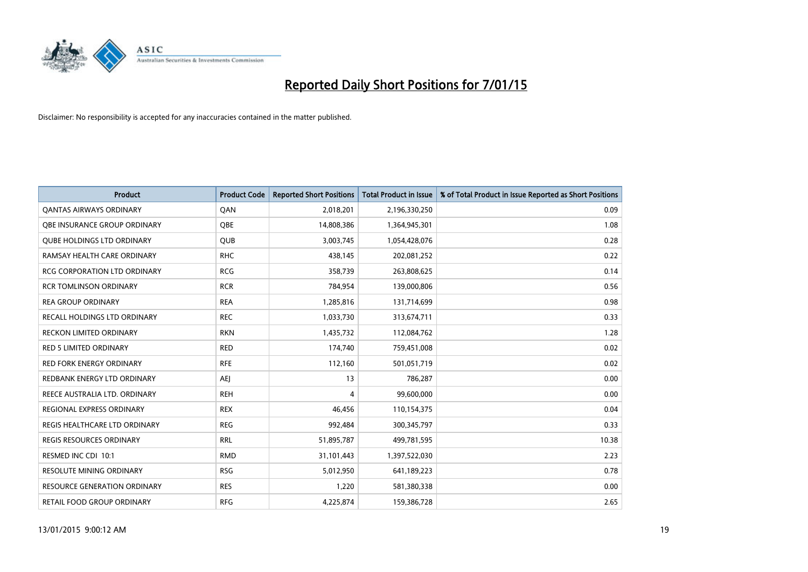

| <b>Product</b>                      | <b>Product Code</b> | <b>Reported Short Positions</b> | <b>Total Product in Issue</b> | % of Total Product in Issue Reported as Short Positions |
|-------------------------------------|---------------------|---------------------------------|-------------------------------|---------------------------------------------------------|
| <b>QANTAS AIRWAYS ORDINARY</b>      | QAN                 | 2,018,201                       | 2,196,330,250                 | 0.09                                                    |
| OBE INSURANCE GROUP ORDINARY        | OBE                 | 14,808,386                      | 1,364,945,301                 | 1.08                                                    |
| <b>QUBE HOLDINGS LTD ORDINARY</b>   | <b>QUB</b>          | 3,003,745                       | 1,054,428,076                 | 0.28                                                    |
| RAMSAY HEALTH CARE ORDINARY         | <b>RHC</b>          | 438,145                         | 202,081,252                   | 0.22                                                    |
| <b>RCG CORPORATION LTD ORDINARY</b> | <b>RCG</b>          | 358,739                         | 263,808,625                   | 0.14                                                    |
| <b>RCR TOMLINSON ORDINARY</b>       | <b>RCR</b>          | 784,954                         | 139,000,806                   | 0.56                                                    |
| <b>REA GROUP ORDINARY</b>           | <b>REA</b>          | 1,285,816                       | 131,714,699                   | 0.98                                                    |
| RECALL HOLDINGS LTD ORDINARY        | <b>REC</b>          | 1,033,730                       | 313,674,711                   | 0.33                                                    |
| RECKON LIMITED ORDINARY             | <b>RKN</b>          | 1,435,732                       | 112,084,762                   | 1.28                                                    |
| <b>RED 5 LIMITED ORDINARY</b>       | <b>RED</b>          | 174,740                         | 759,451,008                   | 0.02                                                    |
| <b>RED FORK ENERGY ORDINARY</b>     | <b>RFE</b>          | 112,160                         | 501,051,719                   | 0.02                                                    |
| REDBANK ENERGY LTD ORDINARY         | AEJ                 | 13                              | 786,287                       | 0.00                                                    |
| REECE AUSTRALIA LTD. ORDINARY       | <b>REH</b>          | 4                               | 99,600,000                    | 0.00                                                    |
| REGIONAL EXPRESS ORDINARY           | <b>REX</b>          | 46.456                          | 110,154,375                   | 0.04                                                    |
| REGIS HEALTHCARE LTD ORDINARY       | <b>REG</b>          | 992,484                         | 300, 345, 797                 | 0.33                                                    |
| <b>REGIS RESOURCES ORDINARY</b>     | <b>RRL</b>          | 51,895,787                      | 499,781,595                   | 10.38                                                   |
| RESMED INC CDI 10:1                 | <b>RMD</b>          | 31,101,443                      | 1,397,522,030                 | 2.23                                                    |
| RESOLUTE MINING ORDINARY            | <b>RSG</b>          | 5,012,950                       | 641,189,223                   | 0.78                                                    |
| <b>RESOURCE GENERATION ORDINARY</b> | <b>RES</b>          | 1,220                           | 581,380,338                   | 0.00                                                    |
| RETAIL FOOD GROUP ORDINARY          | <b>RFG</b>          | 4,225,874                       | 159,386,728                   | 2.65                                                    |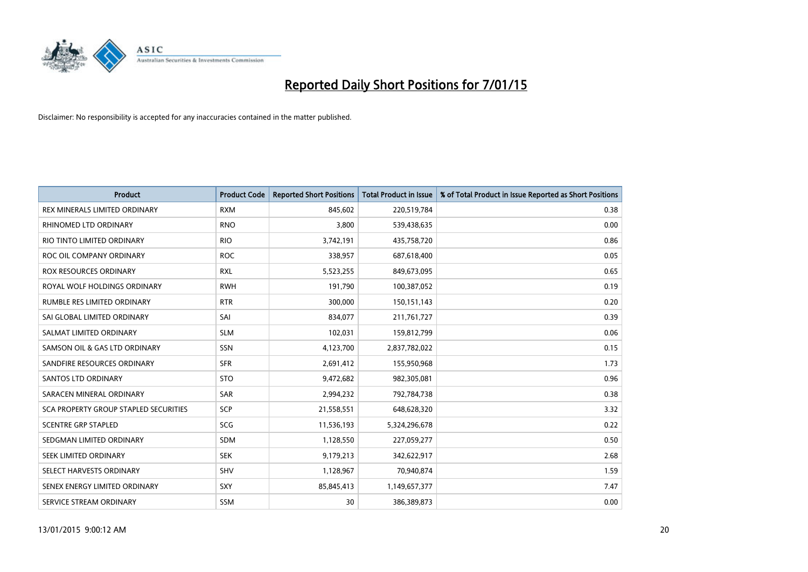

| <b>Product</b>                        | <b>Product Code</b> | <b>Reported Short Positions</b> | <b>Total Product in Issue</b> | % of Total Product in Issue Reported as Short Positions |
|---------------------------------------|---------------------|---------------------------------|-------------------------------|---------------------------------------------------------|
| REX MINERALS LIMITED ORDINARY         | <b>RXM</b>          | 845,602                         | 220,519,784                   | 0.38                                                    |
| RHINOMED LTD ORDINARY                 | <b>RNO</b>          | 3,800                           | 539,438,635                   | 0.00                                                    |
| RIO TINTO LIMITED ORDINARY            | <b>RIO</b>          | 3,742,191                       | 435,758,720                   | 0.86                                                    |
| ROC OIL COMPANY ORDINARY              | <b>ROC</b>          | 338,957                         | 687,618,400                   | 0.05                                                    |
| <b>ROX RESOURCES ORDINARY</b>         | <b>RXL</b>          | 5,523,255                       | 849,673,095                   | 0.65                                                    |
| ROYAL WOLF HOLDINGS ORDINARY          | <b>RWH</b>          | 191,790                         | 100,387,052                   | 0.19                                                    |
| RUMBLE RES LIMITED ORDINARY           | <b>RTR</b>          | 300,000                         | 150,151,143                   | 0.20                                                    |
| SAI GLOBAL LIMITED ORDINARY           | SAI                 | 834,077                         | 211,761,727                   | 0.39                                                    |
| SALMAT LIMITED ORDINARY               | <b>SLM</b>          | 102,031                         | 159,812,799                   | 0.06                                                    |
| SAMSON OIL & GAS LTD ORDINARY         | <b>SSN</b>          | 4,123,700                       | 2,837,782,022                 | 0.15                                                    |
| SANDFIRE RESOURCES ORDINARY           | <b>SFR</b>          | 2,691,412                       | 155,950,968                   | 1.73                                                    |
| SANTOS LTD ORDINARY                   | <b>STO</b>          | 9,472,682                       | 982,305,081                   | 0.96                                                    |
| SARACEN MINERAL ORDINARY              | SAR                 | 2,994,232                       | 792,784,738                   | 0.38                                                    |
| SCA PROPERTY GROUP STAPLED SECURITIES | <b>SCP</b>          | 21,558,551                      | 648,628,320                   | 3.32                                                    |
| <b>SCENTRE GRP STAPLED</b>            | SCG                 | 11,536,193                      | 5,324,296,678                 | 0.22                                                    |
| SEDGMAN LIMITED ORDINARY              | SDM                 | 1,128,550                       | 227,059,277                   | 0.50                                                    |
| SEEK LIMITED ORDINARY                 | <b>SEK</b>          | 9,179,213                       | 342,622,917                   | 2.68                                                    |
| SELECT HARVESTS ORDINARY              | <b>SHV</b>          | 1,128,967                       | 70,940,874                    | 1.59                                                    |
| SENEX ENERGY LIMITED ORDINARY         | <b>SXY</b>          | 85,845,413                      | 1,149,657,377                 | 7.47                                                    |
| SERVICE STREAM ORDINARY               | <b>SSM</b>          | 30                              | 386,389,873                   | 0.00                                                    |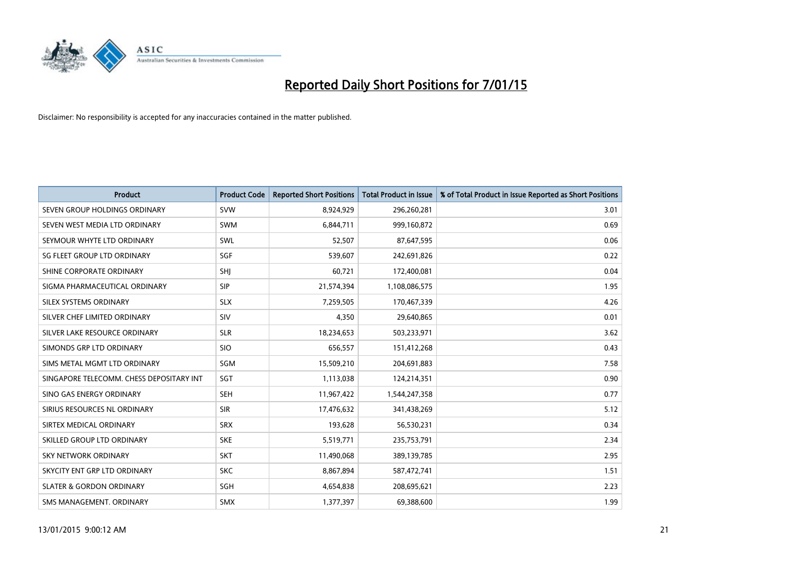

| <b>Product</b>                           | <b>Product Code</b> | <b>Reported Short Positions</b> | <b>Total Product in Issue</b> | % of Total Product in Issue Reported as Short Positions |
|------------------------------------------|---------------------|---------------------------------|-------------------------------|---------------------------------------------------------|
| SEVEN GROUP HOLDINGS ORDINARY            | <b>SVW</b>          | 8,924,929                       | 296,260,281                   | 3.01                                                    |
| SEVEN WEST MEDIA LTD ORDINARY            | <b>SWM</b>          | 6,844,711                       | 999,160,872                   | 0.69                                                    |
| SEYMOUR WHYTE LTD ORDINARY               | SWL                 | 52,507                          | 87,647,595                    | 0.06                                                    |
| SG FLEET GROUP LTD ORDINARY              | SGF                 | 539,607                         | 242,691,826                   | 0.22                                                    |
| SHINE CORPORATE ORDINARY                 | SHJ                 | 60,721                          | 172,400,081                   | 0.04                                                    |
| SIGMA PHARMACEUTICAL ORDINARY            | <b>SIP</b>          | 21,574,394                      | 1,108,086,575                 | 1.95                                                    |
| SILEX SYSTEMS ORDINARY                   | <b>SLX</b>          | 7,259,505                       | 170,467,339                   | 4.26                                                    |
| SILVER CHEF LIMITED ORDINARY             | SIV                 | 4,350                           | 29,640,865                    | 0.01                                                    |
| SILVER LAKE RESOURCE ORDINARY            | <b>SLR</b>          | 18,234,653                      | 503,233,971                   | 3.62                                                    |
| SIMONDS GRP LTD ORDINARY                 | <b>SIO</b>          | 656,557                         | 151,412,268                   | 0.43                                                    |
| SIMS METAL MGMT LTD ORDINARY             | SGM                 | 15,509,210                      | 204,691,883                   | 7.58                                                    |
| SINGAPORE TELECOMM. CHESS DEPOSITARY INT | SGT                 | 1,113,038                       | 124,214,351                   | 0.90                                                    |
| SINO GAS ENERGY ORDINARY                 | <b>SEH</b>          | 11,967,422                      | 1,544,247,358                 | 0.77                                                    |
| SIRIUS RESOURCES NL ORDINARY             | <b>SIR</b>          | 17,476,632                      | 341,438,269                   | 5.12                                                    |
| SIRTEX MEDICAL ORDINARY                  | <b>SRX</b>          | 193,628                         | 56,530,231                    | 0.34                                                    |
| SKILLED GROUP LTD ORDINARY               | <b>SKE</b>          | 5,519,771                       | 235,753,791                   | 2.34                                                    |
| SKY NETWORK ORDINARY                     | <b>SKT</b>          | 11,490,068                      | 389,139,785                   | 2.95                                                    |
| SKYCITY ENT GRP LTD ORDINARY             | <b>SKC</b>          | 8,867,894                       | 587,472,741                   | 1.51                                                    |
| <b>SLATER &amp; GORDON ORDINARY</b>      | SGH                 | 4,654,838                       | 208,695,621                   | 2.23                                                    |
| SMS MANAGEMENT, ORDINARY                 | <b>SMX</b>          | 1,377,397                       | 69,388,600                    | 1.99                                                    |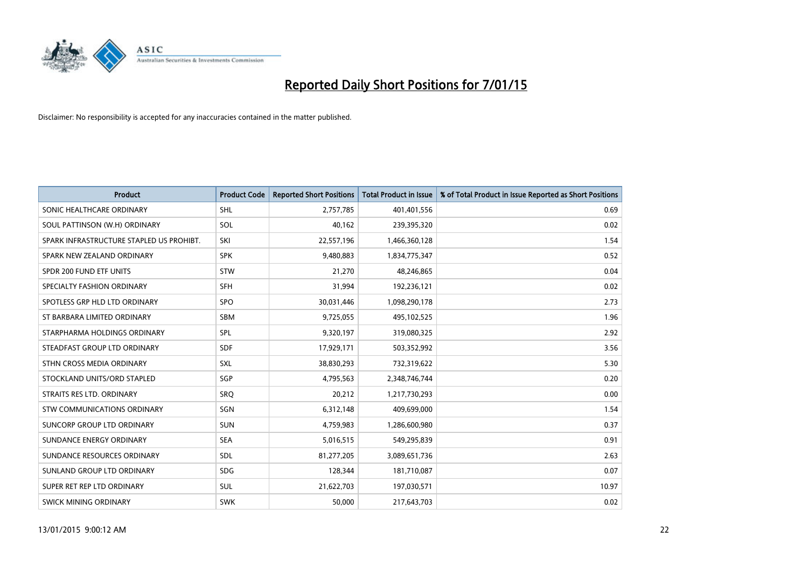

| <b>Product</b>                           | <b>Product Code</b> | <b>Reported Short Positions</b> | <b>Total Product in Issue</b> | % of Total Product in Issue Reported as Short Positions |
|------------------------------------------|---------------------|---------------------------------|-------------------------------|---------------------------------------------------------|
| SONIC HEALTHCARE ORDINARY                | <b>SHL</b>          | 2,757,785                       | 401,401,556                   | 0.69                                                    |
| SOUL PATTINSON (W.H) ORDINARY            | SOL                 | 40,162                          | 239,395,320                   | 0.02                                                    |
| SPARK INFRASTRUCTURE STAPLED US PROHIBT. | SKI                 | 22,557,196                      | 1,466,360,128                 | 1.54                                                    |
| SPARK NEW ZEALAND ORDINARY               | <b>SPK</b>          | 9,480,883                       | 1,834,775,347                 | 0.52                                                    |
| SPDR 200 FUND ETF UNITS                  | STW                 | 21,270                          | 48,246,865                    | 0.04                                                    |
| SPECIALTY FASHION ORDINARY               | <b>SFH</b>          | 31,994                          | 192,236,121                   | 0.02                                                    |
| SPOTLESS GRP HLD LTD ORDINARY            | <b>SPO</b>          | 30,031,446                      | 1,098,290,178                 | 2.73                                                    |
| ST BARBARA LIMITED ORDINARY              | <b>SBM</b>          | 9,725,055                       | 495,102,525                   | 1.96                                                    |
| STARPHARMA HOLDINGS ORDINARY             | <b>SPL</b>          | 9,320,197                       | 319,080,325                   | 2.92                                                    |
| STEADFAST GROUP LTD ORDINARY             | <b>SDF</b>          | 17,929,171                      | 503,352,992                   | 3.56                                                    |
| STHN CROSS MEDIA ORDINARY                | SXL                 | 38,830,293                      | 732,319,622                   | 5.30                                                    |
| STOCKLAND UNITS/ORD STAPLED              | SGP                 | 4,795,563                       | 2,348,746,744                 | 0.20                                                    |
| STRAITS RES LTD. ORDINARY                | SRO                 | 20,212                          | 1,217,730,293                 | 0.00                                                    |
| STW COMMUNICATIONS ORDINARY              | SGN                 | 6,312,148                       | 409,699,000                   | 1.54                                                    |
| SUNCORP GROUP LTD ORDINARY               | <b>SUN</b>          | 4,759,983                       | 1,286,600,980                 | 0.37                                                    |
| SUNDANCE ENERGY ORDINARY                 | <b>SEA</b>          | 5,016,515                       | 549,295,839                   | 0.91                                                    |
| SUNDANCE RESOURCES ORDINARY              | SDL                 | 81,277,205                      | 3,089,651,736                 | 2.63                                                    |
| SUNLAND GROUP LTD ORDINARY               | <b>SDG</b>          | 128,344                         | 181,710,087                   | 0.07                                                    |
| SUPER RET REP LTD ORDINARY               | SUL                 | 21,622,703                      | 197,030,571                   | 10.97                                                   |
| <b>SWICK MINING ORDINARY</b>             | <b>SWK</b>          | 50,000                          | 217,643,703                   | 0.02                                                    |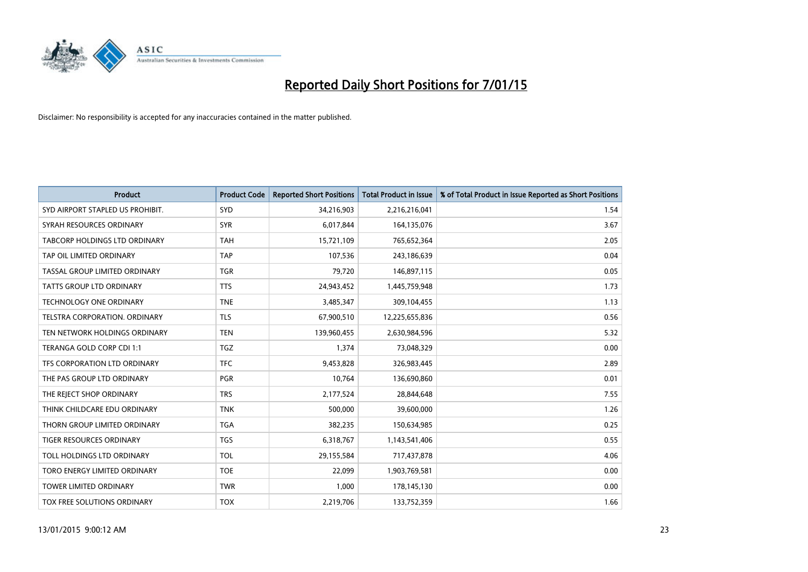

| <b>Product</b>                       | <b>Product Code</b> | <b>Reported Short Positions</b> | <b>Total Product in Issue</b> | % of Total Product in Issue Reported as Short Positions |
|--------------------------------------|---------------------|---------------------------------|-------------------------------|---------------------------------------------------------|
| SYD AIRPORT STAPLED US PROHIBIT.     | SYD                 | 34,216,903                      | 2,216,216,041                 | 1.54                                                    |
| SYRAH RESOURCES ORDINARY             | <b>SYR</b>          | 6,017,844                       | 164,135,076                   | 3.67                                                    |
| <b>TABCORP HOLDINGS LTD ORDINARY</b> | <b>TAH</b>          | 15,721,109                      | 765,652,364                   | 2.05                                                    |
| TAP OIL LIMITED ORDINARY             | <b>TAP</b>          | 107,536                         | 243,186,639                   | 0.04                                                    |
| TASSAL GROUP LIMITED ORDINARY        | <b>TGR</b>          | 79,720                          | 146,897,115                   | 0.05                                                    |
| <b>TATTS GROUP LTD ORDINARY</b>      | <b>TTS</b>          | 24,943,452                      | 1,445,759,948                 | 1.73                                                    |
| <b>TECHNOLOGY ONE ORDINARY</b>       | <b>TNE</b>          | 3,485,347                       | 309,104,455                   | 1.13                                                    |
| TELSTRA CORPORATION, ORDINARY        | <b>TLS</b>          | 67,900,510                      | 12,225,655,836                | 0.56                                                    |
| TEN NETWORK HOLDINGS ORDINARY        | <b>TEN</b>          | 139,960,455                     | 2,630,984,596                 | 5.32                                                    |
| TERANGA GOLD CORP CDI 1:1            | <b>TGZ</b>          | 1,374                           | 73,048,329                    | 0.00                                                    |
| TFS CORPORATION LTD ORDINARY         | <b>TFC</b>          | 9,453,828                       | 326,983,445                   | 2.89                                                    |
| THE PAS GROUP LTD ORDINARY           | <b>PGR</b>          | 10,764                          | 136,690,860                   | 0.01                                                    |
| THE REJECT SHOP ORDINARY             | <b>TRS</b>          | 2,177,524                       | 28,844,648                    | 7.55                                                    |
| THINK CHILDCARE EDU ORDINARY         | <b>TNK</b>          | 500,000                         | 39,600,000                    | 1.26                                                    |
| THORN GROUP LIMITED ORDINARY         | <b>TGA</b>          | 382,235                         | 150,634,985                   | 0.25                                                    |
| <b>TIGER RESOURCES ORDINARY</b>      | <b>TGS</b>          | 6,318,767                       | 1,143,541,406                 | 0.55                                                    |
| TOLL HOLDINGS LTD ORDINARY           | <b>TOL</b>          | 29,155,584                      | 717,437,878                   | 4.06                                                    |
| TORO ENERGY LIMITED ORDINARY         | <b>TOE</b>          | 22,099                          | 1,903,769,581                 | 0.00                                                    |
| <b>TOWER LIMITED ORDINARY</b>        | <b>TWR</b>          | 1,000                           | 178,145,130                   | 0.00                                                    |
| TOX FREE SOLUTIONS ORDINARY          | <b>TOX</b>          | 2,219,706                       | 133,752,359                   | 1.66                                                    |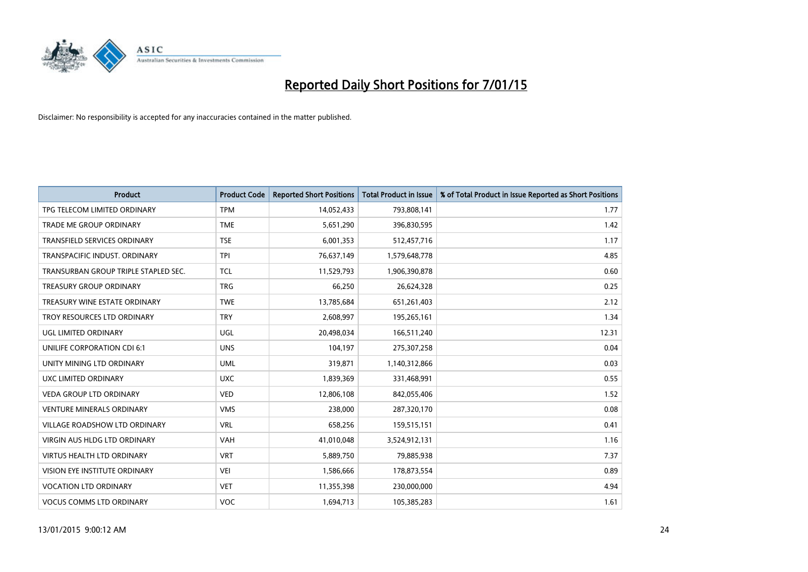

| <b>Product</b>                       | <b>Product Code</b> | <b>Reported Short Positions</b> | <b>Total Product in Issue</b> | % of Total Product in Issue Reported as Short Positions |
|--------------------------------------|---------------------|---------------------------------|-------------------------------|---------------------------------------------------------|
| TPG TELECOM LIMITED ORDINARY         | <b>TPM</b>          | 14,052,433                      | 793,808,141                   | 1.77                                                    |
| TRADE ME GROUP ORDINARY              | <b>TME</b>          | 5,651,290                       | 396,830,595                   | 1.42                                                    |
| <b>TRANSFIELD SERVICES ORDINARY</b>  | <b>TSE</b>          | 6,001,353                       | 512,457,716                   | 1.17                                                    |
| TRANSPACIFIC INDUST, ORDINARY        | <b>TPI</b>          | 76,637,149                      | 1,579,648,778                 | 4.85                                                    |
| TRANSURBAN GROUP TRIPLE STAPLED SEC. | <b>TCL</b>          | 11,529,793                      | 1,906,390,878                 | 0.60                                                    |
| <b>TREASURY GROUP ORDINARY</b>       | <b>TRG</b>          | 66,250                          | 26,624,328                    | 0.25                                                    |
| TREASURY WINE ESTATE ORDINARY        | <b>TWE</b>          | 13,785,684                      | 651,261,403                   | 2.12                                                    |
| TROY RESOURCES LTD ORDINARY          | <b>TRY</b>          | 2,608,997                       | 195,265,161                   | 1.34                                                    |
| UGL LIMITED ORDINARY                 | UGL                 | 20,498,034                      | 166,511,240                   | 12.31                                                   |
| UNILIFE CORPORATION CDI 6:1          | <b>UNS</b>          | 104,197                         | 275,307,258                   | 0.04                                                    |
| UNITY MINING LTD ORDINARY            | <b>UML</b>          | 319,871                         | 1,140,312,866                 | 0.03                                                    |
| UXC LIMITED ORDINARY                 | <b>UXC</b>          | 1,839,369                       | 331,468,991                   | 0.55                                                    |
| <b>VEDA GROUP LTD ORDINARY</b>       | <b>VED</b>          | 12,806,108                      | 842,055,406                   | 1.52                                                    |
| <b>VENTURE MINERALS ORDINARY</b>     | <b>VMS</b>          | 238,000                         | 287,320,170                   | 0.08                                                    |
| VILLAGE ROADSHOW LTD ORDINARY        | <b>VRL</b>          | 658,256                         | 159,515,151                   | 0.41                                                    |
| VIRGIN AUS HLDG LTD ORDINARY         | <b>VAH</b>          | 41,010,048                      | 3,524,912,131                 | 1.16                                                    |
| <b>VIRTUS HEALTH LTD ORDINARY</b>    | <b>VRT</b>          | 5,889,750                       | 79,885,938                    | 7.37                                                    |
| VISION EYE INSTITUTE ORDINARY        | <b>VEI</b>          | 1,586,666                       | 178,873,554                   | 0.89                                                    |
| <b>VOCATION LTD ORDINARY</b>         | <b>VET</b>          | 11,355,398                      | 230,000,000                   | 4.94                                                    |
| <b>VOCUS COMMS LTD ORDINARY</b>      | <b>VOC</b>          | 1,694,713                       | 105,385,283                   | 1.61                                                    |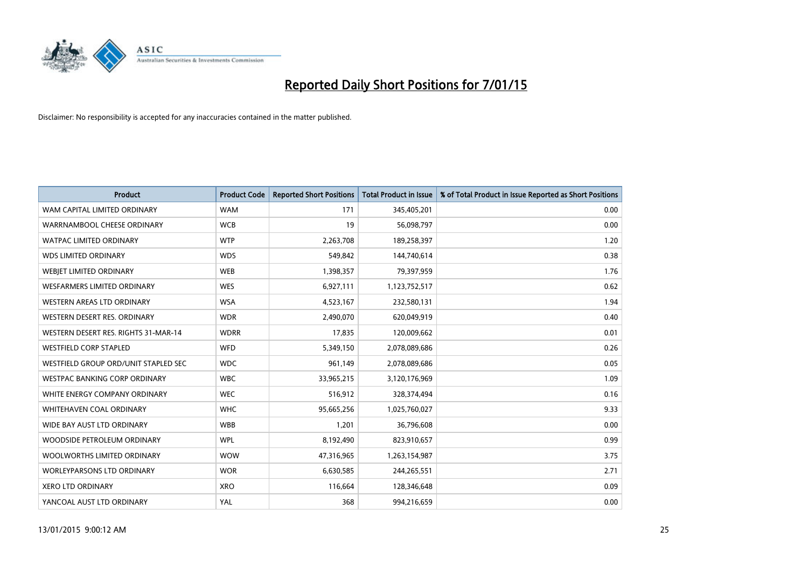

| <b>Product</b>                       | <b>Product Code</b> | <b>Reported Short Positions</b> | <b>Total Product in Issue</b> | % of Total Product in Issue Reported as Short Positions |
|--------------------------------------|---------------------|---------------------------------|-------------------------------|---------------------------------------------------------|
| WAM CAPITAL LIMITED ORDINARY         | <b>WAM</b>          | 171                             | 345,405,201                   | 0.00                                                    |
| WARRNAMBOOL CHEESE ORDINARY          | <b>WCB</b>          | 19                              | 56,098,797                    | 0.00                                                    |
| WATPAC LIMITED ORDINARY              | <b>WTP</b>          | 2,263,708                       | 189,258,397                   | 1.20                                                    |
| <b>WDS LIMITED ORDINARY</b>          | <b>WDS</b>          | 549,842                         | 144,740,614                   | 0.38                                                    |
| WEBIET LIMITED ORDINARY              | <b>WEB</b>          | 1,398,357                       | 79,397,959                    | 1.76                                                    |
| <b>WESFARMERS LIMITED ORDINARY</b>   | <b>WES</b>          | 6,927,111                       | 1,123,752,517                 | 0.62                                                    |
| <b>WESTERN AREAS LTD ORDINARY</b>    | <b>WSA</b>          | 4,523,167                       | 232,580,131                   | 1.94                                                    |
| WESTERN DESERT RES. ORDINARY         | <b>WDR</b>          | 2,490,070                       | 620,049,919                   | 0.40                                                    |
| WESTERN DESERT RES. RIGHTS 31-MAR-14 | <b>WDRR</b>         | 17,835                          | 120,009,662                   | 0.01                                                    |
| <b>WESTFIELD CORP STAPLED</b>        | WFD                 | 5,349,150                       | 2,078,089,686                 | 0.26                                                    |
| WESTFIELD GROUP ORD/UNIT STAPLED SEC | <b>WDC</b>          | 961,149                         | 2,078,089,686                 | 0.05                                                    |
| <b>WESTPAC BANKING CORP ORDINARY</b> | <b>WBC</b>          | 33,965,215                      | 3,120,176,969                 | 1.09                                                    |
| WHITE ENERGY COMPANY ORDINARY        | <b>WEC</b>          | 516,912                         | 328,374,494                   | 0.16                                                    |
| WHITEHAVEN COAL ORDINARY             | <b>WHC</b>          | 95,665,256                      | 1,025,760,027                 | 9.33                                                    |
| WIDE BAY AUST LTD ORDINARY           | <b>WBB</b>          | 1,201                           | 36,796,608                    | 0.00                                                    |
| WOODSIDE PETROLEUM ORDINARY          | <b>WPL</b>          | 8,192,490                       | 823,910,657                   | 0.99                                                    |
| WOOLWORTHS LIMITED ORDINARY          | <b>WOW</b>          | 47,316,965                      | 1,263,154,987                 | 3.75                                                    |
| <b>WORLEYPARSONS LTD ORDINARY</b>    | <b>WOR</b>          | 6,630,585                       | 244,265,551                   | 2.71                                                    |
| <b>XERO LTD ORDINARY</b>             | <b>XRO</b>          | 116,664                         | 128,346,648                   | 0.09                                                    |
| YANCOAL AUST LTD ORDINARY            | <b>YAL</b>          | 368                             | 994,216,659                   | 0.00                                                    |